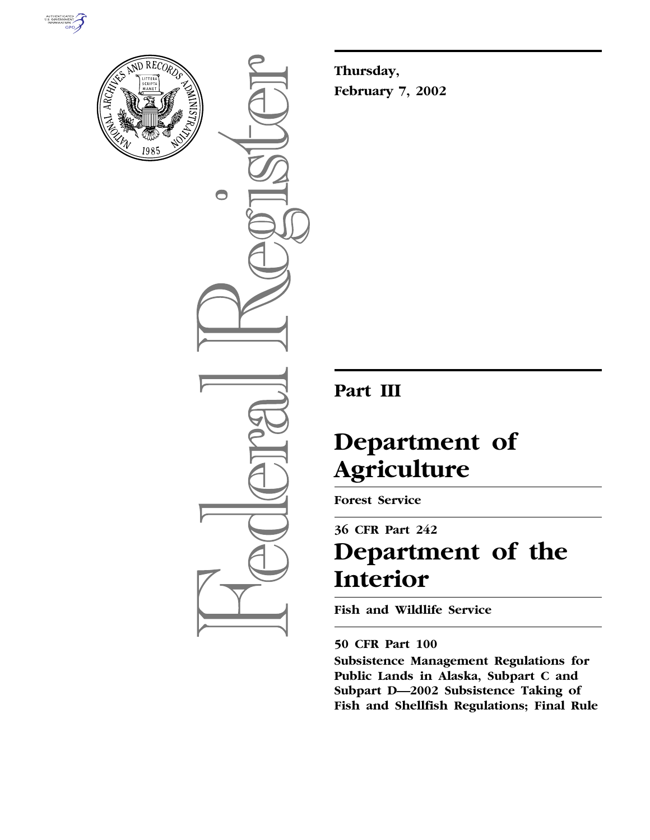



 $\bigcirc$ 

**Thursday, February 7, 2002**

## **Part III**

# **Department of Agriculture**

**Forest Service**

## **36 CFR Part 242 Department of the Interior**

**Fish and Wildlife Service**

### **50 CFR Part 100**

**Subsistence Management Regulations for Public Lands in Alaska, Subpart C and Subpart D—2002 Subsistence Taking of Fish and Shellfish Regulations; Final Rule**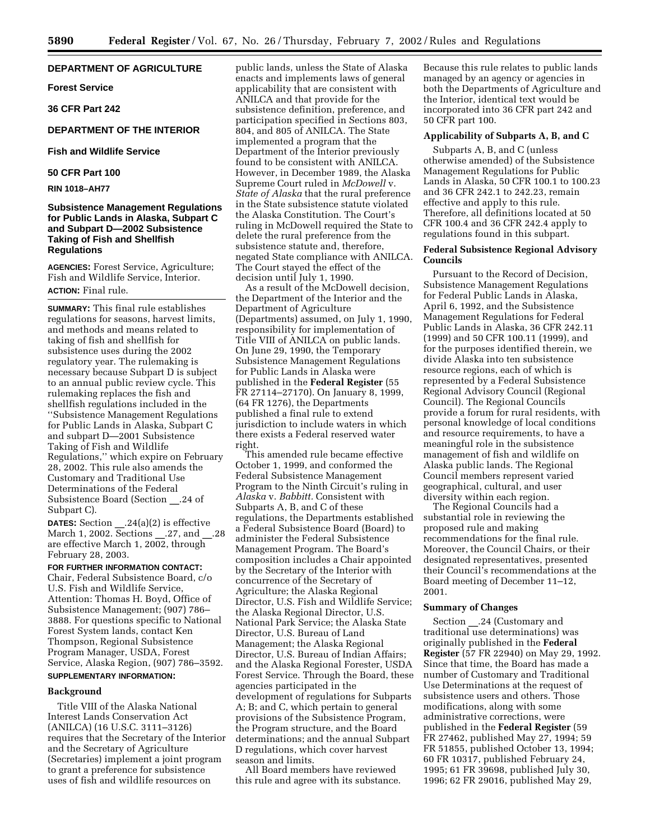#### **DEPARTMENT OF AGRICULTURE**

**Forest Service**

**36 CFR Part 242**

#### **DEPARTMENT OF THE INTERIOR**

#### **Fish and Wildlife Service**

#### **50 CFR Part 100**

**RIN 1018–AH77**

#### **Subsistence Management Regulations for Public Lands in Alaska, Subpart C and Subpart D—2002 Subsistence Taking of Fish and Shellfish Regulations**

**AGENCIES:** Forest Service, Agriculture; Fish and Wildlife Service, Interior. **ACTION:** Final rule.

**SUMMARY:** This final rule establishes regulations for seasons, harvest limits, and methods and means related to taking of fish and shellfish for subsistence uses during the 2002 regulatory year. The rulemaking is necessary because Subpart D is subject to an annual public review cycle. This rulemaking replaces the fish and shellfish regulations included in the ''Subsistence Management Regulations for Public Lands in Alaska, Subpart C and subpart D—2001 Subsistence Taking of Fish and Wildlife Regulations,'' which expire on February 28, 2002. This rule also amends the Customary and Traditional Use Determinations of the Federal Subsistence Board (Section .24 of Subpart C).

**DATES:** Section .24(a)(2) is effective March 1, 2002. Sections \_\_.27, and \_\_.28 are effective March 1, 2002, through February 28, 2003.

#### **FOR FURTHER INFORMATION CONTACT:**

Chair, Federal Subsistence Board, c/o U.S. Fish and Wildlife Service, Attention: Thomas H. Boyd, Office of Subsistence Management; (907) 786– 3888. For questions specific to National Forest System lands, contact Ken Thompson, Regional Subsistence Program Manager, USDA, Forest Service, Alaska Region, (907) 786–3592. **SUPPLEMENTARY INFORMATION:**

#### **Background**

Title VIII of the Alaska National Interest Lands Conservation Act (ANILCA) (16 U.S.C. 3111–3126) requires that the Secretary of the Interior and the Secretary of Agriculture (Secretaries) implement a joint program to grant a preference for subsistence uses of fish and wildlife resources on

public lands, unless the State of Alaska enacts and implements laws of general applicability that are consistent with ANILCA and that provide for the subsistence definition, preference, and participation specified in Sections 803, 804, and 805 of ANILCA. The State implemented a program that the Department of the Interior previously found to be consistent with ANILCA. However, in December 1989, the Alaska Supreme Court ruled in *McDowell* v. *State of Alaska* that the rural preference in the State subsistence statute violated the Alaska Constitution. The Court's ruling in McDowell required the State to delete the rural preference from the subsistence statute and, therefore, negated State compliance with ANILCA. The Court stayed the effect of the decision until July 1, 1990.

As a result of the McDowell decision, the Department of the Interior and the Department of Agriculture (Departments) assumed, on July 1, 1990, responsibility for implementation of Title VIII of ANILCA on public lands. On June 29, 1990, the Temporary Subsistence Management Regulations for Public Lands in Alaska were published in the **Federal Register** (55 FR 27114–27170). On January 8, 1999, (64 FR 1276), the Departments published a final rule to extend jurisdiction to include waters in which there exists a Federal reserved water right.

This amended rule became effective October 1, 1999, and conformed the Federal Subsistence Management Program to the Ninth Circuit's ruling in *Alaska* v. *Babbitt.* Consistent with Subparts A, B, and C of these regulations, the Departments established a Federal Subsistence Board (Board) to administer the Federal Subsistence Management Program. The Board's composition includes a Chair appointed by the Secretary of the Interior with concurrence of the Secretary of Agriculture; the Alaska Regional Director, U.S. Fish and Wildlife Service; the Alaska Regional Director, U.S. National Park Service; the Alaska State Director, U.S. Bureau of Land Management; the Alaska Regional Director, U.S. Bureau of Indian Affairs; and the Alaska Regional Forester, USDA Forest Service. Through the Board, these agencies participated in the development of regulations for Subparts A; B; and C, which pertain to general provisions of the Subsistence Program, the Program structure, and the Board determinations; and the annual Subpart D regulations, which cover harvest season and limits.

All Board members have reviewed this rule and agree with its substance.

Because this rule relates to public lands managed by an agency or agencies in both the Departments of Agriculture and the Interior, identical text would be incorporated into 36 CFR part 242 and 50 CFR part 100.

#### **Applicability of Subparts A, B, and C**

Subparts A, B, and C (unless otherwise amended) of the Subsistence Management Regulations for Public Lands in Alaska, 50 CFR 100.1 to 100.23 and 36 CFR 242.1 to 242.23, remain effective and apply to this rule. Therefore, all definitions located at 50 CFR 100.4 and 36 CFR 242.4 apply to regulations found in this subpart.

#### **Federal Subsistence Regional Advisory Councils**

Pursuant to the Record of Decision, Subsistence Management Regulations for Federal Public Lands in Alaska, April 6, 1992, and the Subsistence Management Regulations for Federal Public Lands in Alaska, 36 CFR 242.11 (1999) and 50 CFR 100.11 (1999), and for the purposes identified therein, we divide Alaska into ten subsistence resource regions, each of which is represented by a Federal Subsistence Regional Advisory Council (Regional Council). The Regional Councils provide a forum for rural residents, with personal knowledge of local conditions and resource requirements, to have a meaningful role in the subsistence management of fish and wildlife on Alaska public lands. The Regional Council members represent varied geographical, cultural, and user diversity within each region.

The Regional Councils had a substantial role in reviewing the proposed rule and making recommendations for the final rule. Moreover, the Council Chairs, or their designated representatives, presented their Council's recommendations at the Board meeting of December 11–12, 2001.

#### **Summary of Changes**

Section .24 (Customary and traditional use determinations) was originally published in the **Federal Register** (57 FR 22940) on May 29, 1992. Since that time, the Board has made a number of Customary and Traditional Use Determinations at the request of subsistence users and others. Those modifications, along with some administrative corrections, were published in the **Federal Register** (59 FR 27462, published May 27, 1994; 59 FR 51855, published October 13, 1994; 60 FR 10317, published February 24, 1995; 61 FR 39698, published July 30, 1996; 62 FR 29016, published May 29,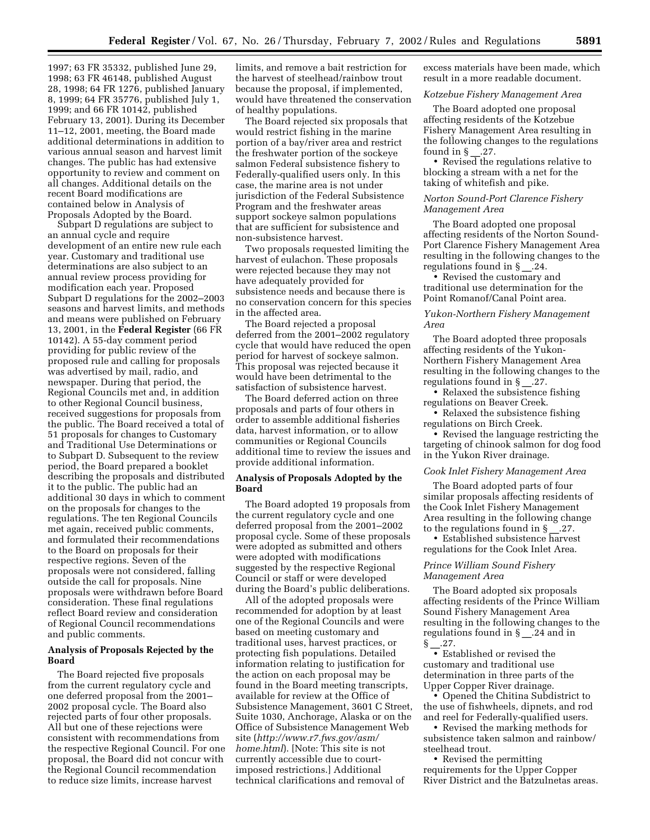1997; 63 FR 35332, published June 29, 1998; 63 FR 46148, published August 28, 1998; 64 FR 1276, published January 8, 1999; 64 FR 35776, published July 1, 1999; and 66 FR 10142, published February 13, 2001). During its December 11–12, 2001, meeting, the Board made additional determinations in addition to various annual season and harvest limit changes. The public has had extensive opportunity to review and comment on all changes. Additional details on the recent Board modifications are contained below in Analysis of Proposals Adopted by the Board.

Subpart D regulations are subject to an annual cycle and require development of an entire new rule each year. Customary and traditional use determinations are also subject to an annual review process providing for modification each year. Proposed Subpart D regulations for the 2002–2003 seasons and harvest limits, and methods and means were published on February 13, 2001, in the **Federal Register** (66 FR 10142). A 55-day comment period providing for public review of the proposed rule and calling for proposals was advertised by mail, radio, and newspaper. During that period, the Regional Councils met and, in addition to other Regional Council business, received suggestions for proposals from the public. The Board received a total of 51 proposals for changes to Customary and Traditional Use Determinations or to Subpart D. Subsequent to the review period, the Board prepared a booklet describing the proposals and distributed it to the public. The public had an additional 30 days in which to comment on the proposals for changes to the regulations. The ten Regional Councils met again, received public comments, and formulated their recommendations to the Board on proposals for their respective regions. Seven of the proposals were not considered, falling outside the call for proposals. Nine proposals were withdrawn before Board consideration. These final regulations reflect Board review and consideration of Regional Council recommendations and public comments.

#### **Analysis of Proposals Rejected by the Board**

The Board rejected five proposals from the current regulatory cycle and one deferred proposal from the 2001– 2002 proposal cycle. The Board also rejected parts of four other proposals. All but one of these rejections were consistent with recommendations from the respective Regional Council. For one proposal, the Board did not concur with the Regional Council recommendation to reduce size limits, increase harvest

limits, and remove a bait restriction for the harvest of steelhead/rainbow trout because the proposal, if implemented, would have threatened the conservation of healthy populations.

The Board rejected six proposals that would restrict fishing in the marine portion of a bay/river area and restrict the freshwater portion of the sockeye salmon Federal subsistence fishery to Federally-qualified users only. In this case, the marine area is not under jurisdiction of the Federal Subsistence Program and the freshwater areas support sockeye salmon populations that are sufficient for subsistence and non-subsistence harvest.

Two proposals requested limiting the harvest of eulachon. These proposals were rejected because they may not have adequately provided for subsistence needs and because there is no conservation concern for this species in the affected area.

The Board rejected a proposal deferred from the 2001–2002 regulatory cycle that would have reduced the open period for harvest of sockeye salmon. This proposal was rejected because it would have been detrimental to the satisfaction of subsistence harvest.

The Board deferred action on three proposals and parts of four others in order to assemble additional fisheries data, harvest information, or to allow communities or Regional Councils additional time to review the issues and provide additional information.

#### **Analysis of Proposals Adopted by the Board**

The Board adopted 19 proposals from the current regulatory cycle and one deferred proposal from the 2001–2002 proposal cycle. Some of these proposals were adopted as submitted and others were adopted with modifications suggested by the respective Regional Council or staff or were developed during the Board's public deliberations.

All of the adopted proposals were recommended for adoption by at least one of the Regional Councils and were based on meeting customary and traditional uses, harvest practices, or protecting fish populations. Detailed information relating to justification for the action on each proposal may be found in the Board meeting transcripts, available for review at the Office of Subsistence Management, 3601 C Street, Suite 1030, Anchorage, Alaska or on the Office of Subsistence Management Web site (*http://www.r7.fws.gov/asm/ home.html*). [Note: This site is not currently accessible due to courtimposed restrictions.] Additional technical clarifications and removal of

excess materials have been made, which result in a more readable document.

#### *Kotzebue Fishery Management Area*

The Board adopted one proposal affecting residents of the Kotzebue Fishery Management Area resulting in the following changes to the regulations found in  $\S$  .27.

• Revised the regulations relative to blocking a stream with a net for the taking of whitefish and pike.

#### *Norton Sound-Port Clarence Fishery Management Area*

The Board adopted one proposal affecting residents of the Norton Sound-Port Clarence Fishery Management Area resulting in the following changes to the regulations found in § \_\_.24.

• Revised the customary and traditional use determination for the Point Romanof/Canal Point area.

#### *Yukon-Northern Fishery Management Area*

The Board adopted three proposals affecting residents of the Yukon-Northern Fishery Management Area resulting in the following changes to the regulations found in § .27.

• Relaxed the subsistence fishing regulations on Beaver Creek.

• Relaxed the subsistence fishing regulations on Birch Creek.

• Revised the language restricting the targeting of chinook salmon for dog food in the Yukon River drainage.

#### *Cook Inlet Fishery Management Area*

The Board adopted parts of four similar proposals affecting residents of the Cook Inlet Fishery Management Area resulting in the following change to the regulations found in  $\S$ . 27.

• Established subsistence harvest regulations for the Cook Inlet Area.

#### *Prince William Sound Fishery Management Area*

The Board adopted six proposals affecting residents of the Prince William Sound Fishery Management Area resulting in the following changes to the regulations found in § \_\_.24 and in  $\frac{\S_{2}^{3}}{27}$ .

• Established or revised the customary and traditional use determination in three parts of the Upper Copper River drainage.

• Opened the Chitina Subdistrict to the use of fishwheels, dipnets, and rod and reel for Federally-qualified users.

• Revised the marking methods for subsistence taken salmon and rainbow/ steelhead trout.

• Revised the permitting requirements for the Upper Copper River District and the Batzulnetas areas.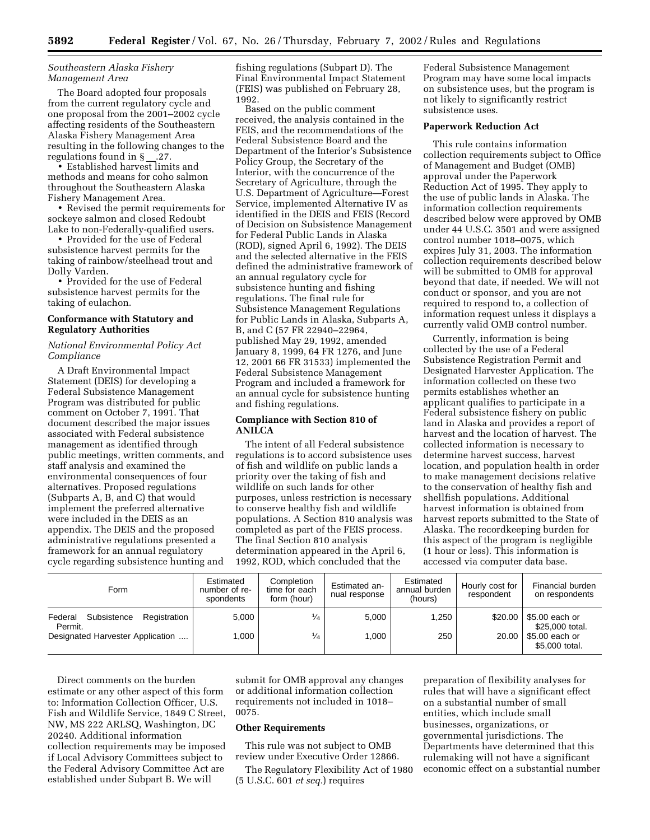#### *Southeastern Alaska Fishery Management Area*

The Board adopted four proposals from the current regulatory cycle and one proposal from the 2001–2002 cycle affecting residents of the Southeastern Alaska Fishery Management Area resulting in the following changes to the regulations found in  $\S$ . 27.

• Established harvest limits and methods and means for coho salmon throughout the Southeastern Alaska Fishery Management Area.

• Revised the permit requirements for sockeye salmon and closed Redoubt Lake to non-Federally-qualified users.

• Provided for the use of Federal subsistence harvest permits for the taking of rainbow/steelhead trout and Dolly Varden.

• Provided for the use of Federal subsistence harvest permits for the taking of eulachon.

#### **Conformance with Statutory and Regulatory Authorities**

#### *National Environmental Policy Act Compliance*

A Draft Environmental Impact Statement (DEIS) for developing a Federal Subsistence Management Program was distributed for public comment on October 7, 1991. That document described the major issues associated with Federal subsistence management as identified through public meetings, written comments, and staff analysis and examined the environmental consequences of four alternatives. Proposed regulations (Subparts A, B, and C) that would implement the preferred alternative were included in the DEIS as an appendix. The DEIS and the proposed administrative regulations presented a framework for an annual regulatory cycle regarding subsistence hunting and

fishing regulations (Subpart D). The Final Environmental Impact Statement (FEIS) was published on February 28, 1992.

Based on the public comment received, the analysis contained in the FEIS, and the recommendations of the Federal Subsistence Board and the Department of the Interior's Subsistence Policy Group, the Secretary of the Interior, with the concurrence of the Secretary of Agriculture, through the U.S. Department of Agriculture—Forest Service, implemented Alternative IV as identified in the DEIS and FEIS (Record of Decision on Subsistence Management for Federal Public Lands in Alaska (ROD), signed April 6, 1992). The DEIS and the selected alternative in the FEIS defined the administrative framework of an annual regulatory cycle for subsistence hunting and fishing regulations. The final rule for Subsistence Management Regulations for Public Lands in Alaska, Subparts A, B, and C (57 FR 22940–22964, published May 29, 1992, amended January 8, 1999, 64 FR 1276, and June 12, 2001 66 FR 31533) implemented the Federal Subsistence Management Program and included a framework for an annual cycle for subsistence hunting and fishing regulations.

#### **Compliance with Section 810 of ANILCA**

The intent of all Federal subsistence regulations is to accord subsistence uses of fish and wildlife on public lands a priority over the taking of fish and wildlife on such lands for other purposes, unless restriction is necessary to conserve healthy fish and wildlife populations. A Section 810 analysis was completed as part of the FEIS process. The final Section 810 analysis determination appeared in the April 6, 1992, ROD, which concluded that the

Federal Subsistence Management Program may have some local impacts on subsistence uses, but the program is not likely to significantly restrict subsistence uses.

#### **Paperwork Reduction Act**

This rule contains information collection requirements subject to Office of Management and Budget (OMB) approval under the Paperwork Reduction Act of 1995. They apply to the use of public lands in Alaska. The information collection requirements described below were approved by OMB under 44 U.S.C. 3501 and were assigned control number 1018–0075, which expires July 31, 2003. The information collection requirements described below will be submitted to OMB for approval beyond that date, if needed. We will not conduct or sponsor, and you are not required to respond to, a collection of information request unless it displays a currently valid OMB control number.

Currently, information is being collected by the use of a Federal Subsistence Registration Permit and Designated Harvester Application. The information collected on these two permits establishes whether an applicant qualifies to participate in a Federal subsistence fishery on public land in Alaska and provides a report of harvest and the location of harvest. The collected information is necessary to determine harvest success, harvest location, and population health in order to make management decisions relative to the conservation of healthy fish and shellfish populations. Additional harvest information is obtained from harvest reports submitted to the State of Alaska. The recordkeeping burden for this aspect of the program is negligible (1 hour or less). This information is accessed via computer data base.

| Form                                              | Estimated<br>number of re-<br>spondents | Completion<br>time for each<br>form (hour) | Estimated an-<br>nual response | Estimated<br>annual burden<br>(hours) | Hourly cost for<br>respondent | Financial burden<br>on respondents |
|---------------------------------------------------|-----------------------------------------|--------------------------------------------|--------------------------------|---------------------------------------|-------------------------------|------------------------------------|
| Federal<br>Registration<br>Subsistence<br>Permit. | 5.000                                   | $\frac{1}{4}$                              | 5.000                          | .250                                  | \$20.00                       | \$5.00 each or<br>\$25,000 total.  |
| Designated Harvester Application                  | 1.000                                   | $\frac{1}{4}$                              | 1.000                          | 250                                   | 20.00                         | \$5.00 each or<br>\$5,000 total.   |

Direct comments on the burden estimate or any other aspect of this form to: Information Collection Officer, U.S. Fish and Wildlife Service, 1849 C Street, NW, MS 222 ARLSQ, Washington, DC 20240. Additional information collection requirements may be imposed if Local Advisory Committees subject to the Federal Advisory Committee Act are established under Subpart B. We will

submit for OMB approval any changes or additional information collection requirements not included in 1018– 0075.

#### **Other Requirements**

This rule was not subject to OMB review under Executive Order 12866.

The Regulatory Flexibility Act of 1980 (5 U.S.C. 601 *et seq.*) requires

preparation of flexibility analyses for rules that will have a significant effect on a substantial number of small entities, which include small businesses, organizations, or governmental jurisdictions. The Departments have determined that this rulemaking will not have a significant economic effect on a substantial number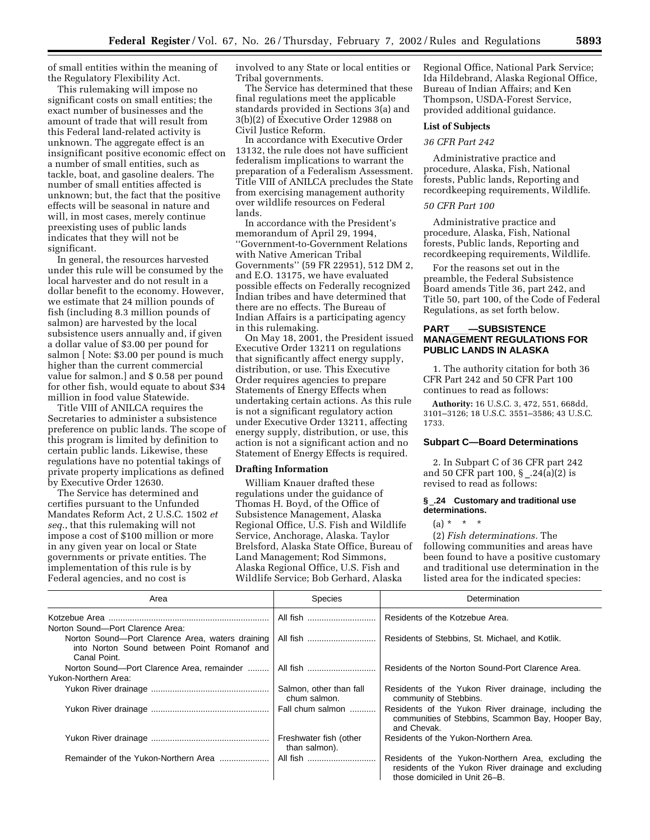of small entities within the meaning of the Regulatory Flexibility Act.

This rulemaking will impose no significant costs on small entities; the exact number of businesses and the amount of trade that will result from this Federal land-related activity is unknown. The aggregate effect is an insignificant positive economic effect on a number of small entities, such as tackle, boat, and gasoline dealers. The number of small entities affected is unknown; but, the fact that the positive effects will be seasonal in nature and will, in most cases, merely continue preexisting uses of public lands indicates that they will not be significant.

In general, the resources harvested under this rule will be consumed by the local harvester and do not result in a dollar benefit to the economy. However, we estimate that 24 million pounds of fish (including 8.3 million pounds of salmon) are harvested by the local subsistence users annually and, if given a dollar value of \$3.00 per pound for salmon [ Note: \$3.00 per pound is much higher than the current commercial value for salmon.] and \$ 0.58 per pound for other fish, would equate to about \$34 million in food value Statewide.

Title VIII of ANILCA requires the Secretaries to administer a subsistence preference on public lands. The scope of this program is limited by definition to certain public lands. Likewise, these regulations have no potential takings of private property implications as defined by Executive Order 12630.

The Service has determined and certifies pursuant to the Unfunded Mandates Reform Act, 2 U.S.C. 1502 *et seq.*, that this rulemaking will not impose a cost of \$100 million or more in any given year on local or State governments or private entities. The implementation of this rule is by Federal agencies, and no cost is

involved to any State or local entities or Tribal governments.

The Service has determined that these final regulations meet the applicable standards provided in Sections 3(a) and 3(b)(2) of Executive Order 12988 on Civil Justice Reform.

In accordance with Executive Order 13132, the rule does not have sufficient federalism implications to warrant the preparation of a Federalism Assessment. Title VIII of ANILCA precludes the State from exercising management authority over wildlife resources on Federal lands.

In accordance with the President's memorandum of April 29, 1994, ''Government-to-Government Relations with Native American Tribal Governments'' (59 FR 22951), 512 DM 2, and E.O. 13175, we have evaluated possible effects on Federally recognized Indian tribes and have determined that there are no effects. The Bureau of Indian Affairs is a participating agency in this rulemaking.

On May 18, 2001, the President issued Executive Order 13211 on regulations that significantly affect energy supply, distribution, or use. This Executive Order requires agencies to prepare Statements of Energy Effects when undertaking certain actions. As this rule is not a significant regulatory action under Executive Order 13211, affecting energy supply, distribution, or use, this action is not a significant action and no Statement of Energy Effects is required.

#### **Drafting Information**

William Knauer drafted these regulations under the guidance of Thomas H. Boyd, of the Office of Subsistence Management, Alaska Regional Office, U.S. Fish and Wildlife Service, Anchorage, Alaska. Taylor Brelsford, Alaska State Office, Bureau of Land Management; Rod Simmons, Alaska Regional Office, U.S. Fish and Wildlife Service; Bob Gerhard, Alaska

Regional Office, National Park Service; Ida Hildebrand, Alaska Regional Office, Bureau of Indian Affairs; and Ken Thompson, USDA-Forest Service, provided additional guidance.

#### **List of Subjects**

#### *36 CFR Part 242*

Administrative practice and procedure, Alaska, Fish, National forests, Public lands, Reporting and recordkeeping requirements, Wildlife.

#### *50 CFR Part 100*

Administrative practice and procedure, Alaska, Fish, National forests, Public lands, Reporting and recordkeeping requirements, Wildlife.

For the reasons set out in the preamble, the Federal Subsistence Board amends Title 36, part 242, and Title 50, part 100, of the Code of Federal Regulations, as set forth below.

### **PART**ll**—SUBSISTENCE MANAGEMENT REGULATIONS FOR PUBLIC LANDS IN ALASKA**

1. The authority citation for both 36 CFR Part 242 and 50 CFR Part 100 continues to read as follows:

**Authority:** 16 U.S.C. 3, 472, 551, 668dd, 3101–3126; 18 U.S.C. 3551–3586; 43 U.S.C. 1733.

#### **Subpart C—Board Determinations**

2. In Subpart C of 36 CFR part 242 and 50 CFR part 100, § \_.24(a)(2) is revised to read as follows:

#### **§** \_**.24 Customary and traditional use determinations.**

 $(a) * * * * *$ 

(2) *Fish determinations.* The following communities and areas have been found to have a positive customary and traditional use determination in the listed area for the indicated species:

| Area                                                                                                                                                | <b>Species</b>                          | Determination                                                                                                                               |  |  |
|-----------------------------------------------------------------------------------------------------------------------------------------------------|-----------------------------------------|---------------------------------------------------------------------------------------------------------------------------------------------|--|--|
|                                                                                                                                                     | All fish                                | Residents of the Kotzebue Area.                                                                                                             |  |  |
| Norton Sound-Port Clarence Area:<br>Norton Sound-Port Clarence Area, waters draining<br>into Norton Sound between Point Romanof and<br>Canal Point. | All fish                                | Residents of Stebbins, St. Michael, and Kotlik.                                                                                             |  |  |
| Norton Sound-Port Clarence Area, remainder                                                                                                          | All fish                                | Residents of the Norton Sound-Port Clarence Area.                                                                                           |  |  |
| Yukon-Northern Area:                                                                                                                                |                                         |                                                                                                                                             |  |  |
|                                                                                                                                                     | Salmon, other than fall<br>chum salmon. | Residents of the Yukon River drainage, including the<br>community of Stebbins.                                                              |  |  |
|                                                                                                                                                     | Fall chum salmon                        | Residents of the Yukon River drainage, including the<br>communities of Stebbins, Scammon Bay, Hooper Bay,<br>and Chevak.                    |  |  |
|                                                                                                                                                     | Freshwater fish (other<br>than salmon). | Residents of the Yukon-Northern Area.                                                                                                       |  |  |
| Remainder of the Yukon-Northern Area                                                                                                                | All fish                                | Residents of the Yukon-Northern Area, excluding the<br>residents of the Yukon River drainage and excluding<br>those domiciled in Unit 26–B. |  |  |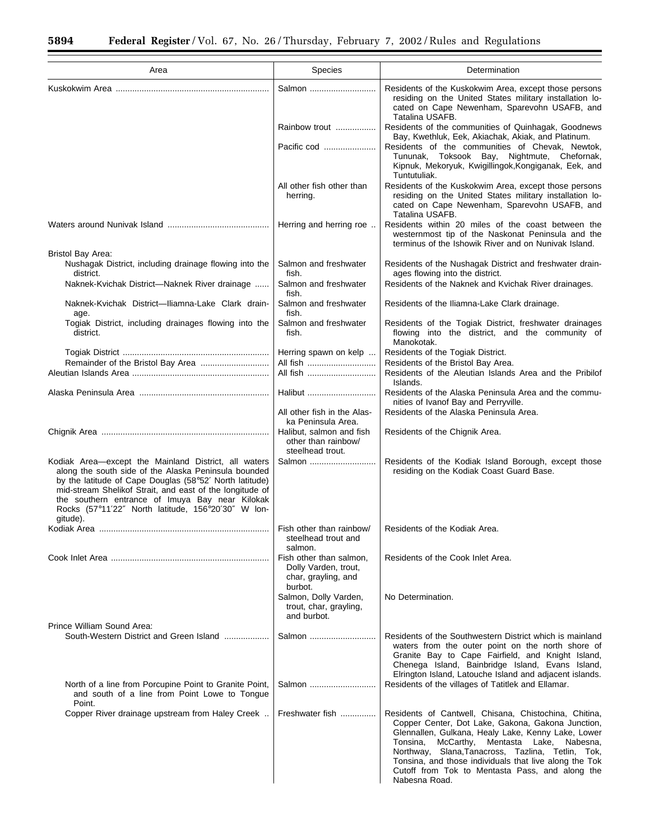÷.

| Area                                                                                                                                                                                                                                                                                                                                                     | <b>Species</b>                                                                    | Determination                                                                                                                                                                                                                                                                                                                                                                                                 |
|----------------------------------------------------------------------------------------------------------------------------------------------------------------------------------------------------------------------------------------------------------------------------------------------------------------------------------------------------------|-----------------------------------------------------------------------------------|---------------------------------------------------------------------------------------------------------------------------------------------------------------------------------------------------------------------------------------------------------------------------------------------------------------------------------------------------------------------------------------------------------------|
|                                                                                                                                                                                                                                                                                                                                                          | Salmon                                                                            | Residents of the Kuskokwim Area, except those persons<br>residing on the United States military installation lo-<br>cated on Cape Newenham, Sparevohn USAFB, and<br>Tatalina USAFB.                                                                                                                                                                                                                           |
|                                                                                                                                                                                                                                                                                                                                                          | Rainbow trout                                                                     | Residents of the communities of Quinhagak, Goodnews<br>Bay, Kwethluk, Eek, Akiachak, Akiak, and Platinum.                                                                                                                                                                                                                                                                                                     |
|                                                                                                                                                                                                                                                                                                                                                          | Pacific cod                                                                       | Residents of the communities of Chevak, Newtok,<br>Toksook Bay, Nightmute, Chefornak,<br>Tununak,<br>Kipnuk, Mekoryuk, Kwigillingok, Kongiganak, Eek, and<br>Tuntutuliak.                                                                                                                                                                                                                                     |
|                                                                                                                                                                                                                                                                                                                                                          | All other fish other than<br>herring.                                             | Residents of the Kuskokwim Area, except those persons<br>residing on the United States military installation lo-<br>cated on Cape Newenham, Sparevohn USAFB, and<br>Tatalina USAFB.                                                                                                                                                                                                                           |
|                                                                                                                                                                                                                                                                                                                                                          | Herring and herring roe                                                           | Residents within 20 miles of the coast between the<br>westernmost tip of the Naskonat Peninsula and the<br>terminus of the Ishowik River and on Nunivak Island.                                                                                                                                                                                                                                               |
| Bristol Bay Area:<br>Nushagak District, including drainage flowing into the<br>district.                                                                                                                                                                                                                                                                 | Salmon and freshwater<br>fish.                                                    | Residents of the Nushagak District and freshwater drain-<br>ages flowing into the district.                                                                                                                                                                                                                                                                                                                   |
| Naknek-Kvichak District-Naknek River drainage                                                                                                                                                                                                                                                                                                            | Salmon and freshwater<br>fish.                                                    | Residents of the Naknek and Kvichak River drainages.                                                                                                                                                                                                                                                                                                                                                          |
| Naknek-Kvichak District-Iliamna-Lake Clark drain-<br>age.                                                                                                                                                                                                                                                                                                | Salmon and freshwater<br>fish.                                                    | Residents of the Iliamna-Lake Clark drainage.                                                                                                                                                                                                                                                                                                                                                                 |
| Togiak District, including drainages flowing into the<br>district.                                                                                                                                                                                                                                                                                       | Salmon and freshwater<br>fish.                                                    | Residents of the Togiak District, freshwater drainages<br>flowing into the district, and the community of<br>Manokotak.                                                                                                                                                                                                                                                                                       |
|                                                                                                                                                                                                                                                                                                                                                          | Herring spawn on kelp<br>All fish                                                 | Residents of the Togiak District.<br>Residents of the Bristol Bay Area.                                                                                                                                                                                                                                                                                                                                       |
|                                                                                                                                                                                                                                                                                                                                                          | All fish                                                                          | Residents of the Aleutian Islands Area and the Pribilof<br>Islands.                                                                                                                                                                                                                                                                                                                                           |
|                                                                                                                                                                                                                                                                                                                                                          | Halibut                                                                           | Residents of the Alaska Peninsula Area and the commu-<br>nities of Ivanof Bay and Perryville.                                                                                                                                                                                                                                                                                                                 |
|                                                                                                                                                                                                                                                                                                                                                          | All other fish in the Alas-<br>ka Peninsula Area.                                 | Residents of the Alaska Peninsula Area.                                                                                                                                                                                                                                                                                                                                                                       |
|                                                                                                                                                                                                                                                                                                                                                          | Halibut, salmon and fish<br>other than rainbow/<br>steelhead trout.               | Residents of the Chignik Area.                                                                                                                                                                                                                                                                                                                                                                                |
| Kodiak Area—except the Mainland District, all waters<br>along the south side of the Alaska Peninsula bounded<br>by the latitude of Cape Douglas (58°52' North latitude)<br>mid-stream Shelikof Strait, and east of the longitude of<br>the southern entrance of Imuya Bay near Kilokak<br>Rocks (57°11'22" North latitude, 156°20'30" W lon-<br>gitude). | Salmon                                                                            | Residents of the Kodiak Island Borough, except those<br>residing on the Kodiak Coast Guard Base.                                                                                                                                                                                                                                                                                                              |
|                                                                                                                                                                                                                                                                                                                                                          | Fish other than rainbow/<br>steelhead trout and<br>salmon.                        | Residents of the Kodiak Area.                                                                                                                                                                                                                                                                                                                                                                                 |
|                                                                                                                                                                                                                                                                                                                                                          | Fish other than salmon,<br>Dolly Varden, trout,<br>char, grayling, and<br>burbot. | Residents of the Cook Inlet Area.                                                                                                                                                                                                                                                                                                                                                                             |
|                                                                                                                                                                                                                                                                                                                                                          | Salmon, Dolly Varden,<br>trout, char, grayling,<br>and burbot.                    | No Determination.                                                                                                                                                                                                                                                                                                                                                                                             |
| Prince William Sound Area:<br>South-Western District and Green Island                                                                                                                                                                                                                                                                                    | Salmon                                                                            | Residents of the Southwestern District which is mainland<br>waters from the outer point on the north shore of<br>Granite Bay to Cape Fairfield, and Knight Island,<br>Chenega Island, Bainbridge Island, Evans Island,<br>Elrington Island, Latouche Island and adjacent islands.                                                                                                                             |
| North of a line from Porcupine Point to Granite Point,<br>and south of a line from Point Lowe to Tongue<br>Point.                                                                                                                                                                                                                                        | Salmon                                                                            | Residents of the villages of Tatitlek and Ellamar.                                                                                                                                                                                                                                                                                                                                                            |
| Copper River drainage upstream from Haley Creek                                                                                                                                                                                                                                                                                                          | Freshwater fish                                                                   | Residents of Cantwell, Chisana, Chistochina, Chitina,<br>Copper Center, Dot Lake, Gakona, Gakona Junction,<br>Glennallen, Gulkana, Healy Lake, Kenny Lake, Lower<br>Tonsina,<br>McCarthy,<br>Mentasta<br>Lake,<br>Nabesna,<br>Northway, Slana, Tanacross, Tazlina, Tetlin, Tok,<br>Tonsina, and those individuals that live along the Tok<br>Cutoff from Tok to Mentasta Pass, and along the<br>Nabesna Road. |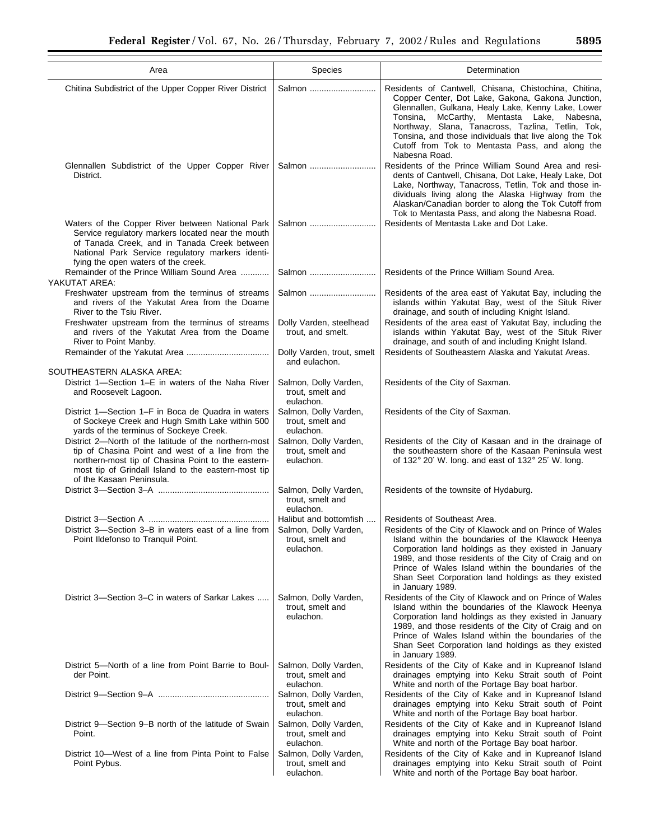| Area                                                                                                                                                                                                                                               | Species                                                                          | Determination                                                                                                                                                                                                                                                                                                                                                                                     |
|----------------------------------------------------------------------------------------------------------------------------------------------------------------------------------------------------------------------------------------------------|----------------------------------------------------------------------------------|---------------------------------------------------------------------------------------------------------------------------------------------------------------------------------------------------------------------------------------------------------------------------------------------------------------------------------------------------------------------------------------------------|
| Chitina Subdistrict of the Upper Copper River District                                                                                                                                                                                             | Salmon                                                                           | Residents of Cantwell, Chisana, Chistochina, Chitina,<br>Copper Center, Dot Lake, Gakona, Gakona Junction,<br>Glennallen, Gulkana, Healy Lake, Kenny Lake, Lower<br>Tonsina, McCarthy, Mentasta Lake, Nabesna,<br>Northway, Slana, Tanacross, Tazlina, Tetlin, Tok,<br>Tonsina, and those individuals that live along the Tok<br>Cutoff from Tok to Mentasta Pass, and along the<br>Nabesna Road. |
| Glennallen Subdistrict of the Upper Copper River<br>District.                                                                                                                                                                                      | Salmon                                                                           | Residents of the Prince William Sound Area and resi-<br>dents of Cantwell, Chisana, Dot Lake, Healy Lake, Dot<br>Lake, Northway, Tanacross, Tetlin, Tok and those in-<br>dividuals living along the Alaska Highway from the<br>Alaskan/Canadian border to along the Tok Cutoff from<br>Tok to Mentasta Pass, and along the Nabesna Road.                                                          |
| Waters of the Copper River between National Park<br>Service regulatory markers located near the mouth<br>of Tanada Creek, and in Tanada Creek between<br>National Park Service regulatory markers identi-<br>fying the open waters of the creek.   | Salmon                                                                           | Residents of Mentasta Lake and Dot Lake.                                                                                                                                                                                                                                                                                                                                                          |
| Remainder of the Prince William Sound Area<br>YAKUTAT AREA:                                                                                                                                                                                        | Salmon                                                                           | Residents of the Prince William Sound Area.                                                                                                                                                                                                                                                                                                                                                       |
| Freshwater upstream from the terminus of streams<br>and rivers of the Yakutat Area from the Doame<br>River to the Tsiu River.                                                                                                                      | Salmon                                                                           | Residents of the area east of Yakutat Bay, including the<br>islands within Yakutat Bay, west of the Situk River<br>drainage, and south of including Knight Island.                                                                                                                                                                                                                                |
| Freshwater upstream from the terminus of streams<br>and rivers of the Yakutat Area from the Doame<br>River to Point Manby.                                                                                                                         | Dolly Varden, steelhead<br>trout, and smelt.                                     | Residents of the area east of Yakutat Bay, including the<br>islands within Yakutat Bay, west of the Situk River<br>drainage, and south of and including Knight Island.                                                                                                                                                                                                                            |
|                                                                                                                                                                                                                                                    | Dolly Varden, trout, smelt<br>and eulachon.                                      | Residents of Southeastern Alaska and Yakutat Areas.                                                                                                                                                                                                                                                                                                                                               |
| SOUTHEASTERN ALASKA AREA:<br>District 1-Section 1-E in waters of the Naha River<br>and Roosevelt Lagoon.                                                                                                                                           | Salmon, Dolly Varden,<br>trout, smelt and<br>eulachon.                           | Residents of the City of Saxman.                                                                                                                                                                                                                                                                                                                                                                  |
| District 1—Section 1–F in Boca de Quadra in waters<br>of Sockeye Creek and Hugh Smith Lake within 500<br>yards of the terminus of Sockeye Creek.                                                                                                   | Salmon, Dolly Varden,<br>trout, smelt and<br>eulachon.                           | Residents of the City of Saxman.                                                                                                                                                                                                                                                                                                                                                                  |
| District 2—North of the latitude of the northern-most<br>tip of Chasina Point and west of a line from the<br>northern-most tip of Chasina Point to the eastern-<br>most tip of Grindall Island to the eastern-most tip<br>of the Kasaan Peninsula. | Salmon, Dolly Varden,<br>trout, smelt and<br>eulachon.                           | Residents of the City of Kasaan and in the drainage of<br>the southeastern shore of the Kasaan Peninsula west<br>of 132° 20' W. long. and east of 132° 25' W. long.                                                                                                                                                                                                                               |
|                                                                                                                                                                                                                                                    | Salmon, Dolly Varden,<br>trout, smelt and<br>eulachon.                           | Residents of the townsite of Hydaburg.                                                                                                                                                                                                                                                                                                                                                            |
| District 3—Section 3–B in waters east of a line from 1<br>Point Ildefonso to Tranquil Point.                                                                                                                                                       | Halibut and bottomfish<br>Salmon, Dolly Varden.<br>trout, smelt and<br>eulachon. | Residents of Southeast Area.<br>Residents of the City of Klawock and on Prince of Wales<br>Island within the boundaries of the Klawock Heenya<br>Corporation land holdings as they existed in January<br>1989, and those residents of the City of Craig and on<br>Prince of Wales Island within the boundaries of the<br>Shan Seet Corporation land holdings as they existed<br>in January 1989.  |
| District 3—Section 3–C in waters of Sarkar Lakes                                                                                                                                                                                                   | Salmon, Dolly Varden,<br>trout, smelt and<br>eulachon.                           | Residents of the City of Klawock and on Prince of Wales<br>Island within the boundaries of the Klawock Heenya<br>Corporation land holdings as they existed in January<br>1989, and those residents of the City of Craig and on<br>Prince of Wales Island within the boundaries of the<br>Shan Seet Corporation land holdings as they existed<br>in January 1989.                                  |
| District 5—North of a line from Point Barrie to Boul-<br>der Point.                                                                                                                                                                                | Salmon, Dolly Varden,<br>trout, smelt and<br>eulachon.                           | Residents of the City of Kake and in Kupreanof Island<br>drainages emptying into Keku Strait south of Point<br>White and north of the Portage Bay boat harbor.                                                                                                                                                                                                                                    |
|                                                                                                                                                                                                                                                    | Salmon, Dolly Varden,<br>trout, smelt and<br>eulachon.                           | Residents of the City of Kake and in Kupreanof Island<br>drainages emptying into Keku Strait south of Point<br>White and north of the Portage Bay boat harbor.                                                                                                                                                                                                                                    |
| District 9—Section 9–B north of the latitude of Swain<br>Point.                                                                                                                                                                                    | Salmon, Dolly Varden,<br>trout, smelt and<br>eulachon.                           | Residents of the City of Kake and in Kupreanof Island<br>drainages emptying into Keku Strait south of Point<br>White and north of the Portage Bay boat harbor.                                                                                                                                                                                                                                    |
| District 10—West of a line from Pinta Point to False<br>Point Pybus.                                                                                                                                                                               | Salmon, Dolly Varden,<br>trout, smelt and<br>eulachon.                           | Residents of the City of Kake and in Kupreanof Island<br>drainages emptying into Keku Strait south of Point<br>White and north of the Portage Bay boat harbor.                                                                                                                                                                                                                                    |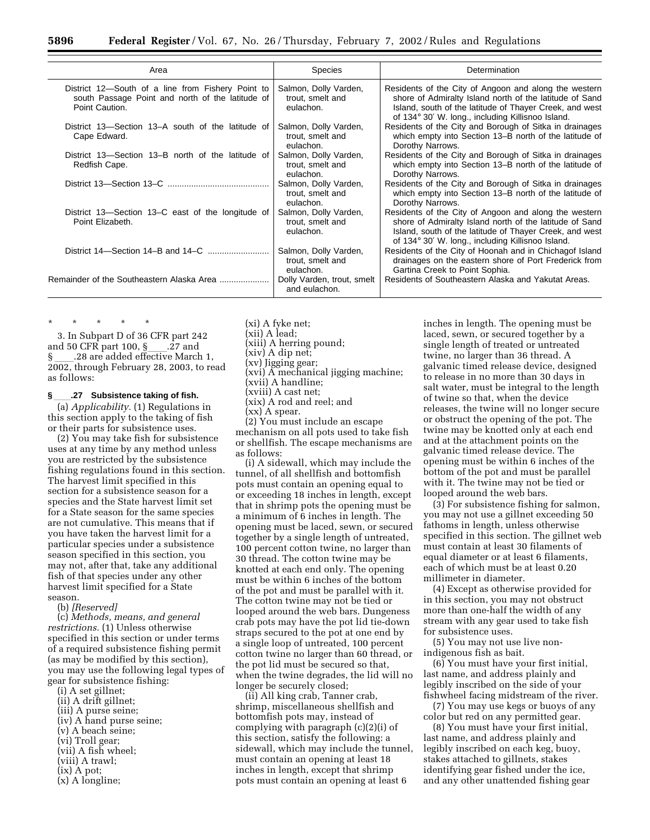| Area                                                                                                                    | <b>Species</b>                                         | Determination                                                                                                                                                                                                                    |
|-------------------------------------------------------------------------------------------------------------------------|--------------------------------------------------------|----------------------------------------------------------------------------------------------------------------------------------------------------------------------------------------------------------------------------------|
| District 12-South of a line from Fishery Point to<br>south Passage Point and north of the latitude of<br>Point Caution. | Salmon, Dolly Varden,<br>trout, smelt and<br>eulachon. | Residents of the City of Angoon and along the western<br>shore of Admiralty Island north of the latitude of Sand<br>Island, south of the latitude of Thayer Creek, and west<br>of 134° 30' W. long., including Killisnoo Island. |
| District 13–Section 13–A south of the latitude of<br>Cape Edward.                                                       | Salmon, Dolly Varden,<br>trout, smelt and<br>eulachon. | Residents of the City and Borough of Sitka in drainages<br>which empty into Section 13–B north of the latitude of<br>Dorothy Narrows.                                                                                            |
| District 13–Section 13–B north of the latitude of<br>Redfish Cape.                                                      | Salmon, Dolly Varden,<br>trout, smelt and<br>eulachon. | Residents of the City and Borough of Sitka in drainages<br>which empty into Section 13–B north of the latitude of<br>Dorothy Narrows.                                                                                            |
|                                                                                                                         | Salmon, Dolly Varden,<br>trout, smelt and<br>eulachon. | Residents of the City and Borough of Sitka in drainages<br>which empty into Section 13–B north of the latitude of<br>Dorothy Narrows.                                                                                            |
| District 13–Section 13–C east of the longitude of<br>Point Elizabeth.                                                   | Salmon, Dolly Varden,<br>trout, smelt and<br>eulachon. | Residents of the City of Angoon and along the western<br>shore of Admiralty Island north of the latitude of Sand<br>Island, south of the latitude of Thayer Creek, and west<br>of 134° 30' W. long., including Killisnoo Island. |
|                                                                                                                         | Salmon, Dolly Varden,<br>trout, smelt and<br>eulachon. | Residents of the City of Hoonah and in Chichagof Island<br>drainages on the eastern shore of Port Frederick from<br>Gartina Creek to Point Sophia.                                                                               |
| Remainder of the Southeastern Alaska Area                                                                               | Dolly Varden, trout, smelt<br>and eulachon.            | Residents of Southeastern Alaska and Yakutat Areas.                                                                                                                                                                              |
|                                                                                                                         |                                                        |                                                                                                                                                                                                                                  |

\* \* \* \* \* 3. In Subpart D of 36 CFR part 242 and 50 CFR part 100,  $\S$ \_\_\_\_.27 and  $\S$ ...28 are added effective March 1, § \_\_\_\_.28 are added effective March 1,<br>2002, through February 28, 2003, to read as follows:

#### **§**ll**.27 Subsistence taking of fish.**

(a) *Applicability.* (1) Regulations in this section apply to the taking of fish or their parts for subsistence uses.

(2) You may take fish for subsistence uses at any time by any method unless you are restricted by the subsistence fishing regulations found in this section. The harvest limit specified in this section for a subsistence season for a species and the State harvest limit set for a State season for the same species are not cumulative. This means that if you have taken the harvest limit for a particular species under a subsistence season specified in this section, you may not, after that, take any additional fish of that species under any other harvest limit specified for a State season.

(b) *[Reserved]*

(c) *Methods, means, and general restrictions.* (1) Unless otherwise specified in this section or under terms of a required subsistence fishing permit (as may be modified by this section), you may use the following legal types of gear for subsistence fishing:

- (i) A set gillnet;
- (ii) A drift gillnet;
- (iii) A purse seine;
- (iv) A hand purse seine; (v) A beach seine;
- (vi) Troll gear;
- (vii) A fish wheel;
- (viii) A trawl;
- (ix) A pot;
- (x) A longline;

(xi) A fyke net; (xii) A lead; (xiii) A herring pound; (xiv) A dip net;

(xv) Jigging gear;

- (xvi) A mechanical jigging machine;
- (xvii) A handline;

(xviii) A cast net;

(xix) A rod and reel; and

(xx) A spear.

(2) You must include an escape mechanism on all pots used to take fish or shellfish. The escape mechanisms are as follows:

(i) A sidewall, which may include the tunnel, of all shellfish and bottomfish pots must contain an opening equal to or exceeding 18 inches in length, except that in shrimp pots the opening must be a minimum of 6 inches in length. The opening must be laced, sewn, or secured together by a single length of untreated, 100 percent cotton twine, no larger than 30 thread. The cotton twine may be knotted at each end only. The opening must be within 6 inches of the bottom of the pot and must be parallel with it. The cotton twine may not be tied or looped around the web bars. Dungeness crab pots may have the pot lid tie-down straps secured to the pot at one end by a single loop of untreated, 100 percent cotton twine no larger than 60 thread, or the pot lid must be secured so that, when the twine degrades, the lid will no longer be securely closed;

(ii) All king crab, Tanner crab, shrimp, miscellaneous shellfish and bottomfish pots may, instead of complying with paragraph (c)(2)(i) of this section, satisfy the following: a sidewall, which may include the tunnel, must contain an opening at least 18 inches in length, except that shrimp pots must contain an opening at least 6

inches in length. The opening must be laced, sewn, or secured together by a single length of treated or untreated twine, no larger than 36 thread. A galvanic timed release device, designed to release in no more than 30 days in salt water, must be integral to the length of twine so that, when the device releases, the twine will no longer secure or obstruct the opening of the pot. The twine may be knotted only at each end and at the attachment points on the galvanic timed release device. The opening must be within 6 inches of the bottom of the pot and must be parallel with it. The twine may not be tied or looped around the web bars.

(3) For subsistence fishing for salmon, you may not use a gillnet exceeding 50 fathoms in length, unless otherwise specified in this section. The gillnet web must contain at least 30 filaments of equal diameter or at least 6 filaments, each of which must be at least 0.20 millimeter in diameter.

(4) Except as otherwise provided for in this section, you may not obstruct more than one-half the width of any stream with any gear used to take fish for subsistence uses.

(5) You may not use live nonindigenous fish as bait.

(6) You must have your first initial, last name, and address plainly and legibly inscribed on the side of your fishwheel facing midstream of the river.

(7) You may use kegs or buoys of any color but red on any permitted gear.

(8) You must have your first initial, last name, and address plainly and legibly inscribed on each keg, buoy, stakes attached to gillnets, stakes identifying gear fished under the ice, and any other unattended fishing gear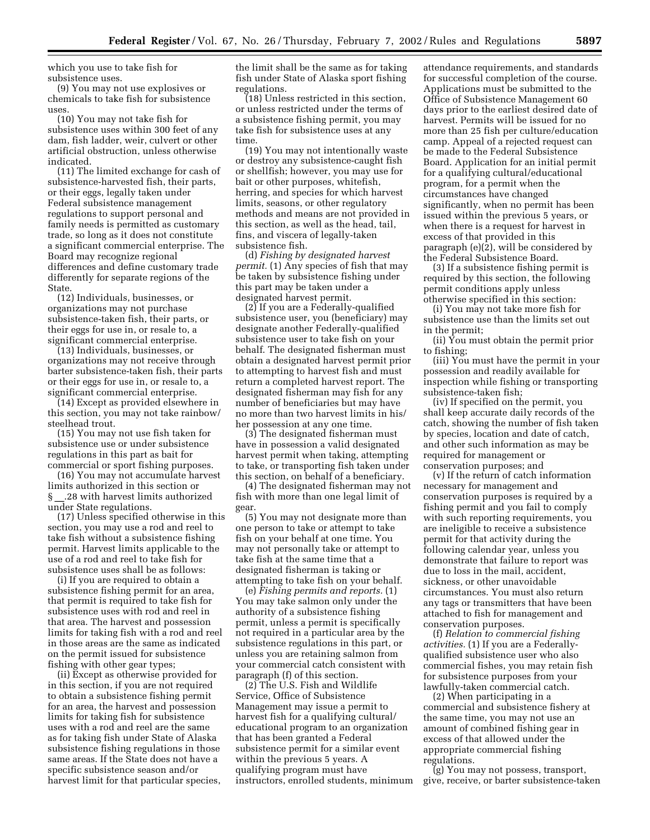which you use to take fish for subsistence uses.

(9) You may not use explosives or chemicals to take fish for subsistence uses.

(10) You may not take fish for subsistence uses within 300 feet of any dam, fish ladder, weir, culvert or other artificial obstruction, unless otherwise indicated.

(11) The limited exchange for cash of subsistence-harvested fish, their parts, or their eggs, legally taken under Federal subsistence management regulations to support personal and family needs is permitted as customary trade, so long as it does not constitute a significant commercial enterprise. The Board may recognize regional differences and define customary trade differently for separate regions of the State.

(12) Individuals, businesses, or organizations may not purchase subsistence-taken fish, their parts, or their eggs for use in, or resale to, a significant commercial enterprise.

(13) Individuals, businesses, or organizations may not receive through barter subsistence-taken fish, their parts or their eggs for use in, or resale to, a significant commercial enterprise.

(14) Except as provided elsewhere in this section, you may not take rainbow/ steelhead trout.

(15) You may not use fish taken for subsistence use or under subsistence regulations in this part as bait for commercial or sport fishing purposes.

(16) You may not accumulate harvest limits authorized in this section or § .28 with harvest limits authorized under State regulations.

(17) Unless specified otherwise in this section, you may use a rod and reel to take fish without a subsistence fishing permit. Harvest limits applicable to the use of a rod and reel to take fish for subsistence uses shall be as follows:

(i) If you are required to obtain a subsistence fishing permit for an area, that permit is required to take fish for subsistence uses with rod and reel in that area. The harvest and possession limits for taking fish with a rod and reel in those areas are the same as indicated on the permit issued for subsistence fishing with other gear types;

(ii) Except as otherwise provided for in this section, if you are not required to obtain a subsistence fishing permit for an area, the harvest and possession limits for taking fish for subsistence uses with a rod and reel are the same as for taking fish under State of Alaska subsistence fishing regulations in those same areas. If the State does not have a specific subsistence season and/or harvest limit for that particular species,

the limit shall be the same as for taking fish under State of Alaska sport fishing regulations.

(18) Unless restricted in this section, or unless restricted under the terms of a subsistence fishing permit, you may take fish for subsistence uses at any time.

(19) You may not intentionally waste or destroy any subsistence-caught fish or shellfish; however, you may use for bait or other purposes, whitefish, herring, and species for which harvest limits, seasons, or other regulatory methods and means are not provided in this section, as well as the head, tail, fins, and viscera of legally-taken subsistence fish.

(d) *Fishing by designated harvest permit.* (1) Any species of fish that may be taken by subsistence fishing under this part may be taken under a designated harvest permit.

(2) If you are a Federally-qualified subsistence user, you (beneficiary) may designate another Federally-qualified subsistence user to take fish on your behalf. The designated fisherman must obtain a designated harvest permit prior to attempting to harvest fish and must return a completed harvest report. The designated fisherman may fish for any number of beneficiaries but may have no more than two harvest limits in his/ her possession at any one time.

(3) The designated fisherman must have in possession a valid designated harvest permit when taking, attempting to take, or transporting fish taken under this section, on behalf of a beneficiary.

(4) The designated fisherman may not fish with more than one legal limit of gear.

(5) You may not designate more than one person to take or attempt to take fish on your behalf at one time. You may not personally take or attempt to take fish at the same time that a designated fisherman is taking or attempting to take fish on your behalf.

(e) *Fishing permits and reports.* (1) You may take salmon only under the authority of a subsistence fishing permit, unless a permit is specifically not required in a particular area by the subsistence regulations in this part, or unless you are retaining salmon from your commercial catch consistent with paragraph (f) of this section.

(2) The U.S. Fish and Wildlife Service, Office of Subsistence Management may issue a permit to harvest fish for a qualifying cultural/ educational program to an organization that has been granted a Federal subsistence permit for a similar event within the previous 5 years. A qualifying program must have instructors, enrolled students, minimum attendance requirements, and standards for successful completion of the course. Applications must be submitted to the Office of Subsistence Management 60 days prior to the earliest desired date of harvest. Permits will be issued for no more than 25 fish per culture/education camp. Appeal of a rejected request can be made to the Federal Subsistence Board. Application for an initial permit for a qualifying cultural/educational program, for a permit when the circumstances have changed significantly, when no permit has been issued within the previous 5 years, or when there is a request for harvest in excess of that provided in this paragraph (e)(2), will be considered by the Federal Subsistence Board.

(3) If a subsistence fishing permit is required by this section, the following permit conditions apply unless otherwise specified in this section:

(i) You may not take more fish for subsistence use than the limits set out in the permit;

(ii) You must obtain the permit prior to fishing;

(iii) You must have the permit in your possession and readily available for inspection while fishing or transporting subsistence-taken fish;

(iv) If specified on the permit, you shall keep accurate daily records of the catch, showing the number of fish taken by species, location and date of catch, and other such information as may be required for management or conservation purposes; and

(v) If the return of catch information necessary for management and conservation purposes is required by a fishing permit and you fail to comply with such reporting requirements, you are ineligible to receive a subsistence permit for that activity during the following calendar year, unless you demonstrate that failure to report was due to loss in the mail, accident, sickness, or other unavoidable circumstances. You must also return any tags or transmitters that have been attached to fish for management and conservation purposes.

(f) *Relation to commercial fishing activities.* (1) If you are a Federallyqualified subsistence user who also commercial fishes, you may retain fish for subsistence purposes from your lawfully-taken commercial catch.

(2) When participating in a commercial and subsistence fishery at the same time, you may not use an amount of combined fishing gear in excess of that allowed under the appropriate commercial fishing regulations.

(g) You may not possess, transport, give, receive, or barter subsistence-taken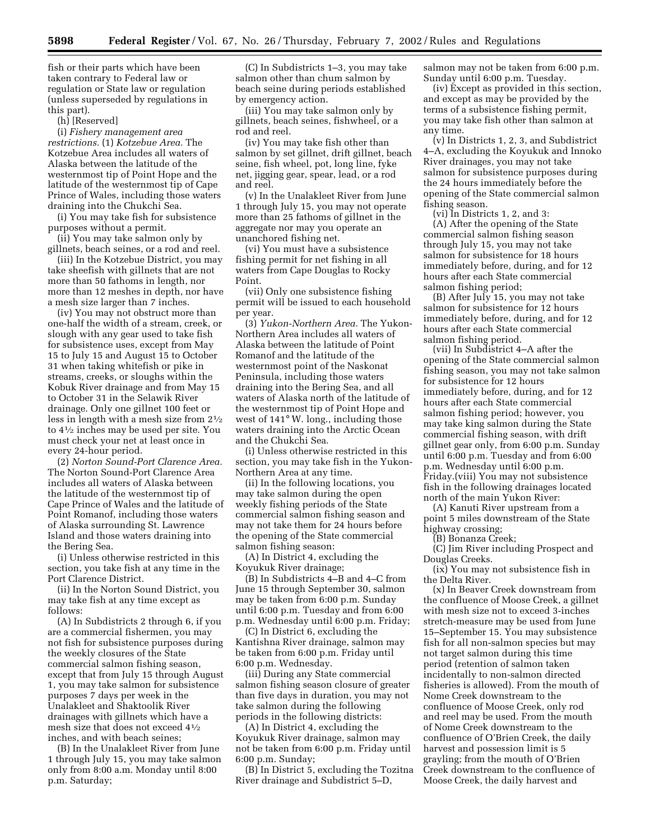fish or their parts which have been taken contrary to Federal law or regulation or State law or regulation (unless superseded by regulations in this part).

(h) [Reserved]

(i) *Fishery management area restrictions.* (1) *Kotzebue Area.* The Kotzebue Area includes all waters of Alaska between the latitude of the westernmost tip of Point Hope and the latitude of the westernmost tip of Cape Prince of Wales, including those waters draining into the Chukchi Sea.

(i) You may take fish for subsistence purposes without a permit.

(ii) You may take salmon only by gillnets, beach seines, or a rod and reel.

(iii) In the Kotzebue District, you may take sheefish with gillnets that are not more than 50 fathoms in length, nor more than 12 meshes in depth, nor have a mesh size larger than 7 inches.

(iv) You may not obstruct more than one-half the width of a stream, creek, or slough with any gear used to take fish for subsistence uses, except from May 15 to July 15 and August 15 to October 31 when taking whitefish or pike in streams, creeks, or sloughs within the Kobuk River drainage and from May 15 to October 31 in the Selawik River drainage. Only one gillnet 100 feet or less in length with a mesh size from 21⁄2 to 41⁄2 inches may be used per site. You must check your net at least once in every 24-hour period.

(2) *Norton Sound-Port Clarence Area.* The Norton Sound-Port Clarence Area includes all waters of Alaska between the latitude of the westernmost tip of Cape Prince of Wales and the latitude of Point Romanof, including those waters of Alaska surrounding St. Lawrence Island and those waters draining into the Bering Sea.

(i) Unless otherwise restricted in this section, you take fish at any time in the Port Clarence District.

(ii) In the Norton Sound District, you may take fish at any time except as follows:

(A) In Subdistricts 2 through 6, if you are a commercial fishermen, you may not fish for subsistence purposes during the weekly closures of the State commercial salmon fishing season, except that from July 15 through August 1, you may take salmon for subsistence purposes 7 days per week in the Unalakleet and Shaktoolik River drainages with gillnets which have a mesh size that does not exceed 41⁄2 inches, and with beach seines;

(B) In the Unalakleet River from June 1 through July 15, you may take salmon only from 8:00 a.m. Monday until 8:00 p.m. Saturday;

(C) In Subdistricts 1–3, you may take salmon other than chum salmon by beach seine during periods established by emergency action.

(iii) You may take salmon only by gillnets, beach seines, fishwheel, or a rod and reel.

(iv) You may take fish other than salmon by set gillnet, drift gillnet, beach seine, fish wheel, pot, long line, fyke net, jigging gear, spear, lead, or a rod and reel.

(v) In the Unalakleet River from June 1 through July 15, you may not operate more than 25 fathoms of gillnet in the aggregate nor may you operate an unanchored fishing net.

(vi) You must have a subsistence fishing permit for net fishing in all waters from Cape Douglas to Rocky Point.

(vii) Only one subsistence fishing permit will be issued to each household per year.

(3) *Yukon-Northern Area.* The Yukon-Northern Area includes all waters of Alaska between the latitude of Point Romanof and the latitude of the westernmost point of the Naskonat Peninsula, including those waters draining into the Bering Sea, and all waters of Alaska north of the latitude of the westernmost tip of Point Hope and west of 141° W. long., including those waters draining into the Arctic Ocean and the Chukchi Sea.

(i) Unless otherwise restricted in this section, you may take fish in the Yukon-Northern Area at any time.

(ii) In the following locations, you may take salmon during the open weekly fishing periods of the State commercial salmon fishing season and may not take them for 24 hours before the opening of the State commercial salmon fishing season:

(A) In District 4, excluding the Koyukuk River drainage;

(B) In Subdistricts 4–B and 4–C from June 15 through September 30, salmon may be taken from 6:00 p.m. Sunday until 6:00 p.m. Tuesday and from 6:00 p.m. Wednesday until 6:00 p.m. Friday;

(C) In District 6, excluding the Kantishna River drainage, salmon may be taken from 6:00 p.m. Friday until 6:00 p.m. Wednesday.

(iii) During any State commercial salmon fishing season closure of greater than five days in duration, you may not take salmon during the following periods in the following districts:

(A) In District 4, excluding the Koyukuk River drainage, salmon may not be taken from 6:00 p.m. Friday until 6:00 p.m. Sunday;

(B) In District 5, excluding the Tozitna River drainage and Subdistrict 5–D,

salmon may not be taken from 6:00 p.m. Sunday until 6:00 p.m. Tuesday.

(iv) Except as provided in this section, and except as may be provided by the terms of a subsistence fishing permit, you may take fish other than salmon at any time.

(v) In Districts 1, 2, 3, and Subdistrict 4–A, excluding the Koyukuk and Innoko River drainages, you may not take salmon for subsistence purposes during the 24 hours immediately before the opening of the State commercial salmon fishing season.

(vi) In Districts 1, 2, and 3: (A) After the opening of the State commercial salmon fishing season through July 15, you may not take salmon for subsistence for 18 hours immediately before, during, and for 12 hours after each State commercial salmon fishing period;

(B) After July 15, you may not take salmon for subsistence for 12 hours immediately before, during, and for 12 hours after each State commercial salmon fishing period.

(vii) In Subdistrict 4–A after the opening of the State commercial salmon fishing season, you may not take salmon for subsistence for 12 hours immediately before, during, and for 12 hours after each State commercial salmon fishing period; however, you may take king salmon during the State commercial fishing season, with drift gillnet gear only, from 6:00 p.m. Sunday until 6:00 p.m. Tuesday and from 6:00 p.m. Wednesday until 6:00 p.m. Friday.(viii) You may not subsistence fish in the following drainages located north of the main Yukon River:

(A) Kanuti River upstream from a point 5 miles downstream of the State highway crossing;

(B) Bonanza Creek;

(C) Jim River including Prospect and Douglas Creeks.

(ix) You may not subsistence fish in the Delta River.

(x) In Beaver Creek downstream from the confluence of Moose Creek, a gillnet with mesh size not to exceed 3-inches stretch-measure may be used from June 15–September 15. You may subsistence fish for all non-salmon species but may not target salmon during this time period (retention of salmon taken incidentally to non-salmon directed fisheries is allowed). From the mouth of Nome Creek downstream to the confluence of Moose Creek, only rod and reel may be used. From the mouth of Nome Creek downstream to the confluence of O'Brien Creek, the daily harvest and possession limit is 5 grayling; from the mouth of O'Brien Creek downstream to the confluence of Moose Creek, the daily harvest and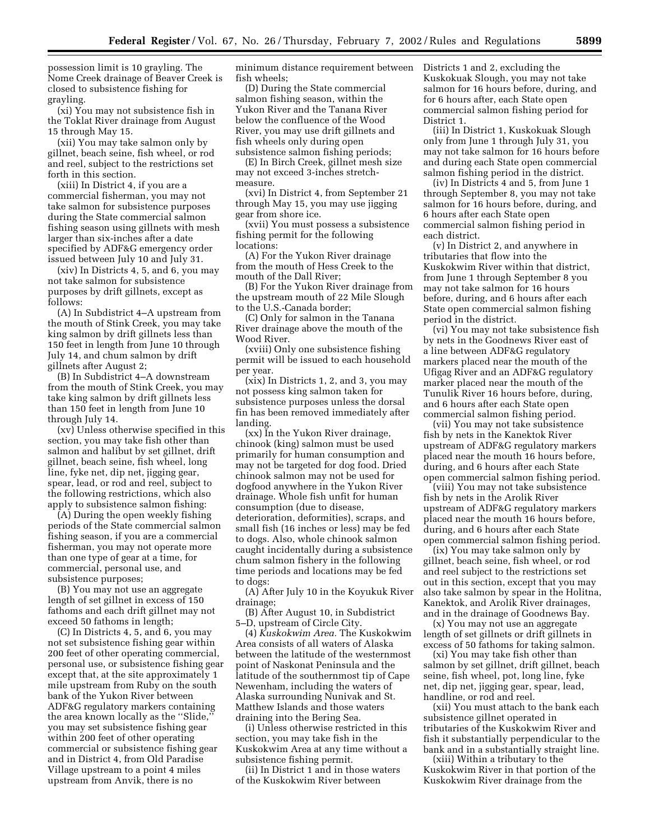possession limit is 10 grayling. The Nome Creek drainage of Beaver Creek is closed to subsistence fishing for grayling.

(xi) You may not subsistence fish in the Toklat River drainage from August 15 through May 15.

(xii) You may take salmon only by gillnet, beach seine, fish wheel, or rod and reel, subject to the restrictions set forth in this section.

(xiii) In District 4, if you are a commercial fisherman, you may not take salmon for subsistence purposes during the State commercial salmon fishing season using gillnets with mesh larger than six-inches after a date specified by ADF&G emergency order issued between July 10 and July 31.

(xiv) In Districts 4, 5, and 6, you may not take salmon for subsistence purposes by drift gillnets, except as follows:

(A) In Subdistrict 4–A upstream from the mouth of Stink Creek, you may take king salmon by drift gillnets less than 150 feet in length from June 10 through July 14, and chum salmon by drift gillnets after August 2;

(B) In Subdistrict 4–A downstream from the mouth of Stink Creek, you may take king salmon by drift gillnets less than 150 feet in length from June 10 through July 14.

(xv) Unless otherwise specified in this section, you may take fish other than salmon and halibut by set gillnet, drift gillnet, beach seine, fish wheel, long line, fyke net, dip net, jigging gear, spear, lead, or rod and reel, subject to the following restrictions, which also apply to subsistence salmon fishing:

(A) During the open weekly fishing periods of the State commercial salmon fishing season, if you are a commercial fisherman, you may not operate more than one type of gear at a time, for commercial, personal use, and subsistence purposes;

(B) You may not use an aggregate length of set gillnet in excess of 150 fathoms and each drift gillnet may not exceed 50 fathoms in length;

(C) In Districts 4, 5, and 6, you may not set subsistence fishing gear within 200 feet of other operating commercial, personal use, or subsistence fishing gear except that, at the site approximately 1 mile upstream from Ruby on the south bank of the Yukon River between ADF&G regulatory markers containing the area known locally as the ''Slide,'' you may set subsistence fishing gear within 200 feet of other operating commercial or subsistence fishing gear and in District 4, from Old Paradise Village upstream to a point 4 miles upstream from Anvik, there is no

minimum distance requirement between fish wheels;

(D) During the State commercial salmon fishing season, within the Yukon River and the Tanana River below the confluence of the Wood River, you may use drift gillnets and fish wheels only during open subsistence salmon fishing periods;

(E) In Birch Creek, gillnet mesh size may not exceed 3-inches stretchmeasure.

(xvi) In District 4, from September 21 through May 15, you may use jigging gear from shore ice.

(xvii) You must possess a subsistence fishing permit for the following locations:

(A) For the Yukon River drainage from the mouth of Hess Creek to the mouth of the Dall River;

(B) For the Yukon River drainage from the upstream mouth of 22 Mile Slough to the U.S.-Canada border;

(C) Only for salmon in the Tanana River drainage above the mouth of the Wood River.

(xviii) Only one subsistence fishing permit will be issued to each household per year.

(xix) In Districts 1, 2, and 3, you may not possess king salmon taken for subsistence purposes unless the dorsal fin has been removed immediately after landing.

(xx) In the Yukon River drainage, chinook (king) salmon must be used primarily for human consumption and may not be targeted for dog food. Dried chinook salmon may not be used for dogfood anywhere in the Yukon River drainage. Whole fish unfit for human consumption (due to disease, deterioration, deformities), scraps, and small fish (16 inches or less) may be fed to dogs. Also, whole chinook salmon caught incidentally during a subsistence chum salmon fishery in the following time periods and locations may be fed to dogs:

(A) After July 10 in the Koyukuk River drainage;

(B) After August 10, in Subdistrict 5–D, upstream of Circle City.

(4) *Kuskokwim Area.* The Kuskokwim Area consists of all waters of Alaska between the latitude of the westernmost point of Naskonat Peninsula and the latitude of the southernmost tip of Cape Newenham, including the waters of Alaska surrounding Nunivak and St. Matthew Islands and those waters draining into the Bering Sea.

(i) Unless otherwise restricted in this section, you may take fish in the Kuskokwim Area at any time without a subsistence fishing permit.

(ii) In District 1 and in those waters of the Kuskokwim River between

Districts 1 and 2, excluding the Kuskokuak Slough, you may not take salmon for 16 hours before, during, and for 6 hours after, each State open commercial salmon fishing period for District 1.

(iii) In District 1, Kuskokuak Slough only from June 1 through July 31, you may not take salmon for 16 hours before and during each State open commercial salmon fishing period in the district.

(iv) In Districts 4 and 5, from June 1 through September 8, you may not take salmon for 16 hours before, during, and 6 hours after each State open commercial salmon fishing period in each district.

(v) In District 2, and anywhere in tributaries that flow into the Kuskokwim River within that district, from June 1 through September 8 you may not take salmon for 16 hours before, during, and 6 hours after each State open commercial salmon fishing period in the district.

(vi) You may not take subsistence fish by nets in the Goodnews River east of a line between ADF&G regulatory markers placed near the mouth of the Ufigag River and an ADF&G regulatory marker placed near the mouth of the Tunulik River 16 hours before, during, and 6 hours after each State open commercial salmon fishing period.

(vii) You may not take subsistence fish by nets in the Kanektok River upstream of ADF&G regulatory markers placed near the mouth 16 hours before, during, and 6 hours after each State open commercial salmon fishing period.

(viii) You may not take subsistence fish by nets in the Arolik River upstream of ADF&G regulatory markers placed near the mouth 16 hours before, during, and 6 hours after each State open commercial salmon fishing period.

(ix) You may take salmon only by gillnet, beach seine, fish wheel, or rod and reel subject to the restrictions set out in this section, except that you may also take salmon by spear in the Holitna, Kanektok, and Arolik River drainages, and in the drainage of Goodnews Bay.

(x) You may not use an aggregate length of set gillnets or drift gillnets in excess of 50 fathoms for taking salmon.

(xi) You may take fish other than salmon by set gillnet, drift gillnet, beach seine, fish wheel, pot, long line, fyke net, dip net, jigging gear, spear, lead, handline, or rod and reel.

(xii) You must attach to the bank each subsistence gillnet operated in tributaries of the Kuskokwim River and fish it substantially perpendicular to the bank and in a substantially straight line.

(xiii) Within a tributary to the Kuskokwim River in that portion of the Kuskokwim River drainage from the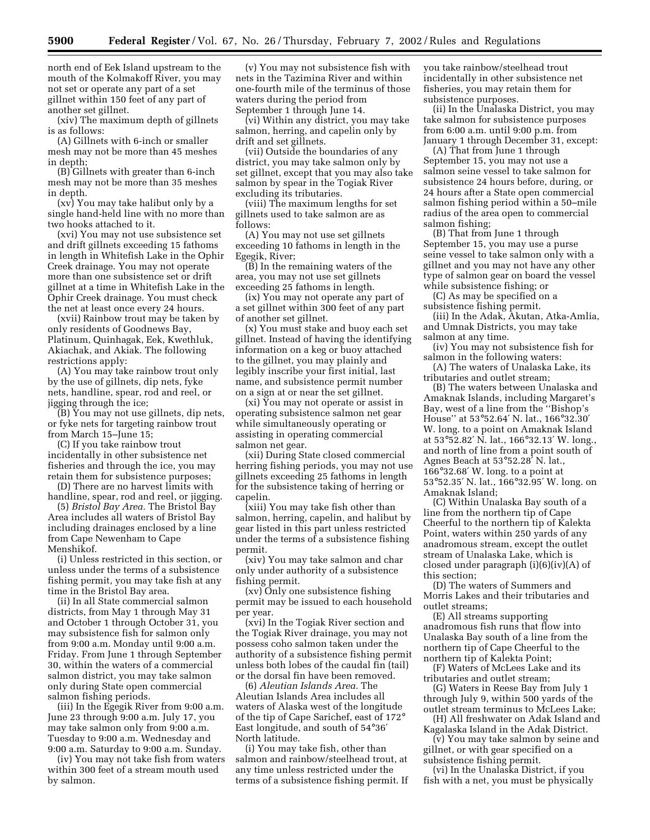north end of Eek Island upstream to the mouth of the Kolmakoff River, you may not set or operate any part of a set gillnet within 150 feet of any part of another set gillnet.

(xiv) The maximum depth of gillnets is as follows:

(A) Gillnets with 6-inch or smaller mesh may not be more than 45 meshes in depth;

(B) Gillnets with greater than 6-inch mesh may not be more than 35 meshes in depth.

(xv) You may take halibut only by a single hand-held line with no more than two hooks attached to it.

(xvi) You may not use subsistence set and drift gillnets exceeding 15 fathoms in length in Whitefish Lake in the Ophir Creek drainage. You may not operate more than one subsistence set or drift gillnet at a time in Whitefish Lake in the Ophir Creek drainage. You must check the net at least once every 24 hours.

(xvii) Rainbow trout may be taken by only residents of Goodnews Bay, Platinum, Quinhagak, Eek, Kwethluk, Akiachak, and Akiak. The following restrictions apply:

(A) You may take rainbow trout only by the use of gillnets, dip nets, fyke nets, handline, spear, rod and reel, or jigging through the ice;

(B) You may not use gillnets, dip nets, or fyke nets for targeting rainbow trout from March 15–June 15;

(C) If you take rainbow trout incidentally in other subsistence net fisheries and through the ice, you may retain them for subsistence purposes;

(D) There are no harvest limits with handline, spear, rod and reel, or jigging.

(5) *Bristol Bay Area.* The Bristol Bay Area includes all waters of Bristol Bay including drainages enclosed by a line from Cape Newenham to Cape Menshikof.

(i) Unless restricted in this section, or unless under the terms of a subsistence fishing permit, you may take fish at any time in the Bristol Bay area.

(ii) In all State commercial salmon districts, from May 1 through May 31 and October 1 through October 31, you may subsistence fish for salmon only from 9:00 a.m. Monday until 9:00 a.m. Friday. From June 1 through September 30, within the waters of a commercial salmon district, you may take salmon only during State open commercial salmon fishing periods.

(iii) In the Egegik River from 9:00 a.m. June 23 through 9:00 a.m. July 17, you may take salmon only from 9:00 a.m. Tuesday to 9:00 a.m. Wednesday and 9:00 a.m. Saturday to 9:00 a.m. Sunday.

(iv) You may not take fish from waters within 300 feet of a stream mouth used by salmon.

(v) You may not subsistence fish with nets in the Tazimina River and within one-fourth mile of the terminus of those waters during the period from September 1 through June 14.

(vi) Within any district, you may take salmon, herring, and capelin only by drift and set gillnets.

(vii) Outside the boundaries of any district, you may take salmon only by set gillnet, except that you may also take salmon by spear in the Togiak River excluding its tributaries.

(viii) The maximum lengths for set gillnets used to take salmon are as follows:

(A) You may not use set gillnets exceeding 10 fathoms in length in the Egegik, River;

(B) In the remaining waters of the area, you may not use set gillnets exceeding 25 fathoms in length.

(ix) You may not operate any part of a set gillnet within 300 feet of any part of another set gillnet.

(x) You must stake and buoy each set gillnet. Instead of having the identifying information on a keg or buoy attached to the gillnet, you may plainly and legibly inscribe your first initial, last name, and subsistence permit number on a sign at or near the set gillnet.

(xi) You may not operate or assist in operating subsistence salmon net gear while simultaneously operating or assisting in operating commercial salmon net gear.

(xii) During State closed commercial herring fishing periods, you may not use gillnets exceeding 25 fathoms in length for the subsistence taking of herring or capelin.

(xiii) You may take fish other than salmon, herring, capelin, and halibut by gear listed in this part unless restricted under the terms of a subsistence fishing permit.

(xiv) You may take salmon and char only under authority of a subsistence fishing permit.

(xv) Only one subsistence fishing permit may be issued to each household per year.

(xvi) In the Togiak River section and the Togiak River drainage, you may not possess coho salmon taken under the authority of a subsistence fishing permit unless both lobes of the caudal fin (tail) or the dorsal fin have been removed.

(6) *Aleutian Islands Area.* The Aleutian Islands Area includes all waters of Alaska west of the longitude of the tip of Cape Sarichef, east of 172° East longitude, and south of 54°36′ North latitude.

(i) You may take fish, other than salmon and rainbow/steelhead trout, at any time unless restricted under the terms of a subsistence fishing permit. If you take rainbow/steelhead trout incidentally in other subsistence net fisheries, you may retain them for subsistence purposes.

(ii) In the Unalaska District, you may take salmon for subsistence purposes from 6:00 a.m. until 9:00 p.m. from January 1 through December 31, except:

(A) That from June 1 through September 15, you may not use a salmon seine vessel to take salmon for subsistence 24 hours before, during, or 24 hours after a State open commercial salmon fishing period within a 50–mile radius of the area open to commercial salmon fishing;

(B) That from June 1 through September 15, you may use a purse seine vessel to take salmon only with a gillnet and you may not have any other type of salmon gear on board the vessel while subsistence fishing; or

(C) As may be specified on a subsistence fishing permit.

(iii) In the Adak, Akutan, Atka-Amlia, and Umnak Districts, you may take salmon at any time.

(iv) You may not subsistence fish for salmon in the following waters:

(A) The waters of Unalaska Lake, its tributaries and outlet stream;

(B) The waters between Unalaska and Amaknak Islands, including Margaret's Bay, west of a line from the ''Bishop's House'' at 53°52.64′ N. lat., 166°32.30′ W. long. to a point on Amaknak Island at 53°52.82′ N. lat., 166°32.13′ W. long., and north of line from a point south of Agnes Beach at 53°52.28′ N. lat., 166°32.68′ W. long. to a point at 53°52.35′ N. lat., 166°32.95′ W. long. on Amaknak Island;

(C) Within Unalaska Bay south of a line from the northern tip of Cape Cheerful to the northern tip of Kalekta Point, waters within 250 yards of any anadromous stream, except the outlet stream of Unalaska Lake, which is closed under paragraph (i)(6)(iv)(A) of this section;

(D) The waters of Summers and Morris Lakes and their tributaries and outlet streams;

(E) All streams supporting anadromous fish runs that flow into Unalaska Bay south of a line from the northern tip of Cape Cheerful to the northern tip of Kalekta Point;

(F) Waters of McLees Lake and its tributaries and outlet stream;

(G) Waters in Reese Bay from July 1 through July 9, within 500 yards of the outlet stream terminus to McLees Lake;

(H) All freshwater on Adak Island and Kagalaska Island in the Adak District.

(v) You may take salmon by seine and gillnet, or with gear specified on a subsistence fishing permit.

(vi) In the Unalaska District, if you fish with a net, you must be physically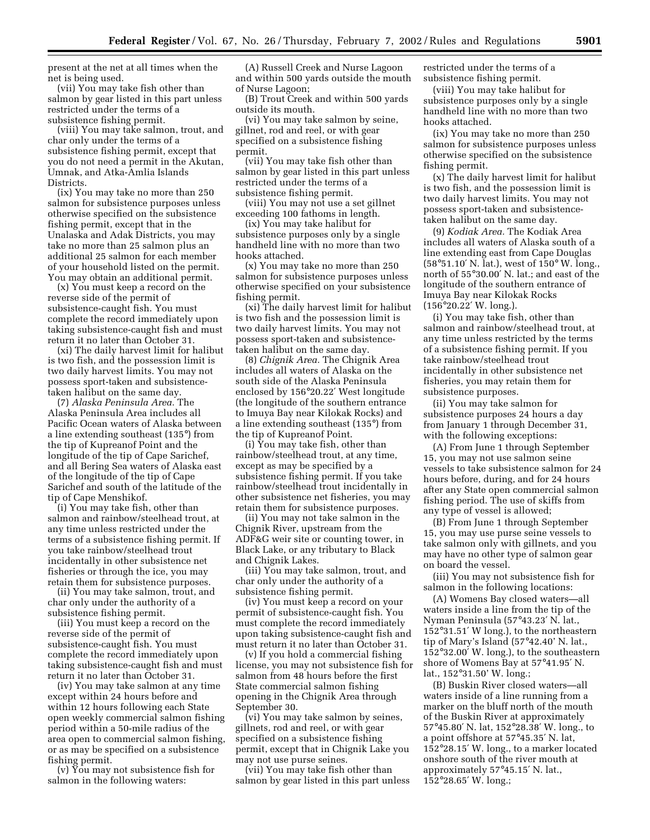present at the net at all times when the net is being used.

(vii) You may take fish other than salmon by gear listed in this part unless restricted under the terms of a subsistence fishing permit.

(viii) You may take salmon, trout, and char only under the terms of a subsistence fishing permit, except that you do not need a permit in the Akutan, Umnak, and Atka-Amlia Islands Districts.

(ix) You may take no more than 250 salmon for subsistence purposes unless otherwise specified on the subsistence fishing permit, except that in the Unalaska and Adak Districts, you may take no more than 25 salmon plus an additional 25 salmon for each member of your household listed on the permit. You may obtain an additional permit.

(x) You must keep a record on the reverse side of the permit of subsistence-caught fish. You must complete the record immediately upon taking subsistence-caught fish and must return it no later than October 31.

(xi) The daily harvest limit for halibut is two fish, and the possession limit is two daily harvest limits. You may not possess sport-taken and subsistencetaken halibut on the same day.

(7) *Alaska Peninsula Area.* The Alaska Peninsula Area includes all Pacific Ocean waters of Alaska between a line extending southeast (135°) from the tip of Kupreanof Point and the longitude of the tip of Cape Sarichef, and all Bering Sea waters of Alaska east of the longitude of the tip of Cape Sarichef and south of the latitude of the tip of Cape Menshikof.

(i) You may take fish, other than salmon and rainbow/steelhead trout, at any time unless restricted under the terms of a subsistence fishing permit. If you take rainbow/steelhead trout incidentally in other subsistence net fisheries or through the ice, you may retain them for subsistence purposes.

(ii) You may take salmon, trout, and char only under the authority of a subsistence fishing permit.

(iii) You must keep a record on the reverse side of the permit of subsistence-caught fish. You must complete the record immediately upon taking subsistence-caught fish and must return it no later than October 31.

(iv) You may take salmon at any time except within 24 hours before and within 12 hours following each State open weekly commercial salmon fishing period within a 50-mile radius of the area open to commercial salmon fishing, or as may be specified on a subsistence fishing permit.

(v) You may not subsistence fish for salmon in the following waters:

(A) Russell Creek and Nurse Lagoon and within 500 yards outside the mouth of Nurse Lagoon;

(B) Trout Creek and within 500 yards outside its mouth.

(vi) You may take salmon by seine, gillnet, rod and reel, or with gear specified on a subsistence fishing permit.

(vii) You may take fish other than salmon by gear listed in this part unless restricted under the terms of a subsistence fishing permit.

(viii) You may not use a set gillnet exceeding 100 fathoms in length.

(ix) You may take halibut for subsistence purposes only by a single handheld line with no more than two hooks attached.

(x) You may take no more than 250 salmon for subsistence purposes unless otherwise specified on your subsistence fishing permit.

(xi) The daily harvest limit for halibut is two fish and the possession limit is two daily harvest limits. You may not possess sport-taken and subsistencetaken halibut on the same day.

(8) *Chignik Area.* The Chignik Area includes all waters of Alaska on the south side of the Alaska Peninsula enclosed by 156°20.22′ West longitude (the longitude of the southern entrance to Imuya Bay near Kilokak Rocks) and a line extending southeast (135°) from the tip of Kupreanof Point.

(i) You may take fish, other than rainbow/steelhead trout, at any time, except as may be specified by a subsistence fishing permit. If you take rainbow/steelhead trout incidentally in other subsistence net fisheries, you may retain them for subsistence purposes.

(ii) You may not take salmon in the Chignik River, upstream from the ADF&G weir site or counting tower, in Black Lake, or any tributary to Black and Chignik Lakes.

(iii) You may take salmon, trout, and char only under the authority of a subsistence fishing permit.

(iv) You must keep a record on your permit of subsistence-caught fish. You must complete the record immediately upon taking subsistence-caught fish and must return it no later than October 31.

(v) If you hold a commercial fishing license, you may not subsistence fish for salmon from 48 hours before the first State commercial salmon fishing opening in the Chignik Area through September 30.

(vi) You may take salmon by seines, gillnets, rod and reel, or with gear specified on a subsistence fishing permit, except that in Chignik Lake you may not use purse seines.

(vii) You may take fish other than salmon by gear listed in this part unless

restricted under the terms of a subsistence fishing permit.

(viii) You may take halibut for subsistence purposes only by a single handheld line with no more than two hooks attached.

(ix) You may take no more than 250 salmon for subsistence purposes unless otherwise specified on the subsistence fishing permit.

(x) The daily harvest limit for halibut is two fish, and the possession limit is two daily harvest limits. You may not possess sport-taken and subsistencetaken halibut on the same day.

(9) *Kodiak Area.* The Kodiak Area includes all waters of Alaska south of a line extending east from Cape Douglas (58°51.10′ N. lat.), west of 150° W. long., north of 55°30.00′ N. lat.; and east of the longitude of the southern entrance of Imuya Bay near Kilokak Rocks (156°20.22′ W. long.).

(i) You may take fish, other than salmon and rainbow/steelhead trout, at any time unless restricted by the terms of a subsistence fishing permit. If you take rainbow/steelhead trout incidentally in other subsistence net fisheries, you may retain them for subsistence purposes.

(ii) You may take salmon for subsistence purposes 24 hours a day from January 1 through December 31, with the following exceptions:

(A) From June 1 through September 15, you may not use salmon seine vessels to take subsistence salmon for 24 hours before, during, and for 24 hours after any State open commercial salmon fishing period. The use of skiffs from any type of vessel is allowed;

(B) From June 1 through September 15, you may use purse seine vessels to take salmon only with gillnets, and you may have no other type of salmon gear on board the vessel.

(iii) You may not subsistence fish for salmon in the following locations:

(A) Womens Bay closed waters—all waters inside a line from the tip of the Nyman Peninsula (57°43.23′ N. lat., 152°31.51′ W long.), to the northeastern tip of Mary's Island (57°42.40' N. lat., 152°32.00′ W. long.), to the southeastern shore of Womens Bay at 57°41.95′ N. lat., 152°31.50' W. long.;

(B) Buskin River closed waters—all waters inside of a line running from a marker on the bluff north of the mouth of the Buskin River at approximately 57°45.80′ N. lat, 152°28.38′ W. long., to a point offshore at 57°45.35′ N. lat, 152°28.15′ W. long., to a marker located onshore south of the river mouth at approximately 57°45.15′ N. lat., 152°28.65′ W. long.;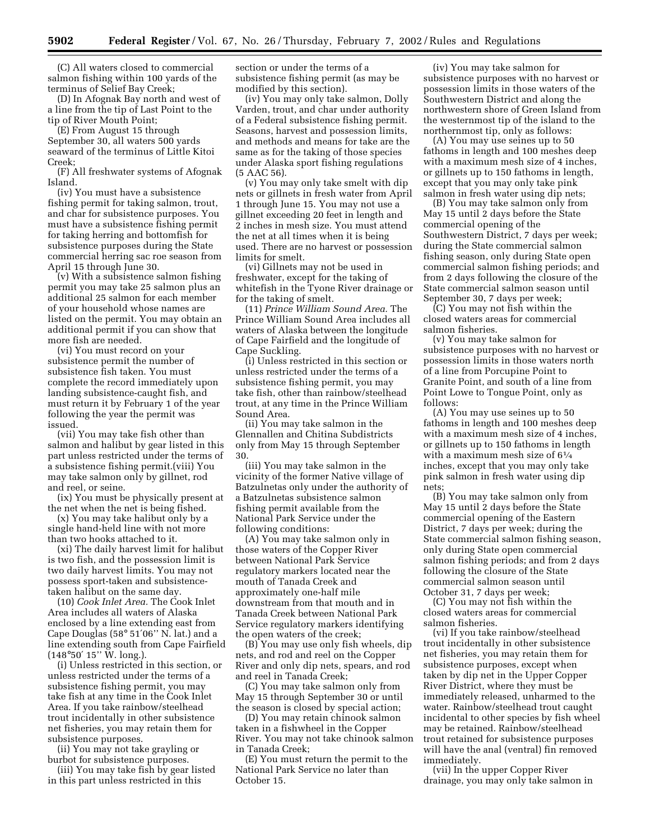(C) All waters closed to commercial salmon fishing within 100 yards of the terminus of Selief Bay Creek;

(D) In Afognak Bay north and west of a line from the tip of Last Point to the tip of River Mouth Point;

(E) From August 15 through September 30, all waters 500 yards seaward of the terminus of Little Kitoi Creek;

(F) All freshwater systems of Afognak Island.

(iv) You must have a subsistence fishing permit for taking salmon, trout, and char for subsistence purposes. You must have a subsistence fishing permit for taking herring and bottomfish for subsistence purposes during the State commercial herring sac roe season from April 15 through June 30.

(v) With a subsistence salmon fishing permit you may take 25 salmon plus an additional 25 salmon for each member of your household whose names are listed on the permit. You may obtain an additional permit if you can show that more fish are needed.

(vi) You must record on your subsistence permit the number of subsistence fish taken. You must complete the record immediately upon landing subsistence-caught fish, and must return it by February 1 of the year following the year the permit was issued.

(vii) You may take fish other than salmon and halibut by gear listed in this part unless restricted under the terms of a subsistence fishing permit.(viii) You may take salmon only by gillnet, rod and reel, or seine.

(ix) You must be physically present at the net when the net is being fished.

(x) You may take halibut only by a single hand-held line with not more than two hooks attached to it.

(xi) The daily harvest limit for halibut is two fish, and the possession limit is two daily harvest limits. You may not possess sport-taken and subsistencetaken halibut on the same day.

(10) *Cook Inlet Area.* The Cook Inlet Area includes all waters of Alaska enclosed by a line extending east from Cape Douglas (58° 51′06'' N. lat.) and a line extending south from Cape Fairfield (148°50′ 15'' W. long.).

(i) Unless restricted in this section, or unless restricted under the terms of a subsistence fishing permit, you may take fish at any time in the Cook Inlet Area. If you take rainbow/steelhead trout incidentally in other subsistence net fisheries, you may retain them for subsistence purposes.

(ii) You may not take grayling or burbot for subsistence purposes.

(iii) You may take fish by gear listed in this part unless restricted in this

section or under the terms of a subsistence fishing permit (as may be modified by this section).

(iv) You may only take salmon, Dolly Varden, trout, and char under authority of a Federal subsistence fishing permit. Seasons, harvest and possession limits, and methods and means for take are the same as for the taking of those species under Alaska sport fishing regulations (5 AAC 56).

(v) You may only take smelt with dip nets or gillnets in fresh water from April 1 through June 15. You may not use a gillnet exceeding 20 feet in length and 2 inches in mesh size. You must attend the net at all times when it is being used. There are no harvest or possession limits for smelt.

(vi) Gillnets may not be used in freshwater, except for the taking of whitefish in the Tyone River drainage or for the taking of smelt.

(11) *Prince William Sound Area.* The Prince William Sound Area includes all waters of Alaska between the longitude of Cape Fairfield and the longitude of Cape Suckling.

(i) Unless restricted in this section or unless restricted under the terms of a subsistence fishing permit, you may take fish, other than rainbow/steelhead trout, at any time in the Prince William Sound Area.

(ii) You may take salmon in the Glennallen and Chitina Subdistricts only from May 15 through September 30.

(iii) You may take salmon in the vicinity of the former Native village of Batzulnetas only under the authority of a Batzulnetas subsistence salmon fishing permit available from the National Park Service under the following conditions:

(A) You may take salmon only in those waters of the Copper River between National Park Service regulatory markers located near the mouth of Tanada Creek and approximately one-half mile downstream from that mouth and in Tanada Creek between National Park Service regulatory markers identifying the open waters of the creek;

(B) You may use only fish wheels, dip nets, and rod and reel on the Copper River and only dip nets, spears, and rod and reel in Tanada Creek;

(C) You may take salmon only from May 15 through September 30 or until the season is closed by special action;

(D) You may retain chinook salmon taken in a fishwheel in the Copper River. You may not take chinook salmon in Tanada Creek;

(E) You must return the permit to the National Park Service no later than October 15.

(iv) You may take salmon for subsistence purposes with no harvest or possession limits in those waters of the Southwestern District and along the northwestern shore of Green Island from the westernmost tip of the island to the northernmost tip, only as follows:

(A) You may use seines up to 50 fathoms in length and 100 meshes deep with a maximum mesh size of 4 inches, or gillnets up to 150 fathoms in length, except that you may only take pink salmon in fresh water using dip nets;

(B) You may take salmon only from May 15 until 2 days before the State commercial opening of the Southwestern District, 7 days per week; during the State commercial salmon fishing season, only during State open commercial salmon fishing periods; and from 2 days following the closure of the State commercial salmon season until September 30, 7 days per week;

(C) You may not fish within the closed waters areas for commercial salmon fisheries.

(v) You may take salmon for subsistence purposes with no harvest or possession limits in those waters north of a line from Porcupine Point to Granite Point, and south of a line from Point Lowe to Tongue Point, only as follows:

(A) You may use seines up to 50 fathoms in length and 100 meshes deep with a maximum mesh size of 4 inches, or gillnets up to 150 fathoms in length with a maximum mesh size of 61⁄4 inches, except that you may only take pink salmon in fresh water using dip nets;

(B) You may take salmon only from May 15 until 2 days before the State commercial opening of the Eastern District, 7 days per week; during the State commercial salmon fishing season, only during State open commercial salmon fishing periods; and from 2 days following the closure of the State commercial salmon season until October 31, 7 days per week;

(C) You may not fish within the closed waters areas for commercial salmon fisheries.

(vi) If you take rainbow/steelhead trout incidentally in other subsistence net fisheries, you may retain them for subsistence purposes, except when taken by dip net in the Upper Copper River District, where they must be immediately released, unharmed to the water. Rainbow/steelhead trout caught incidental to other species by fish wheel may be retained. Rainbow/steelhead trout retained for subsistence purposes will have the anal (ventral) fin removed immediately.

(vii) In the upper Copper River drainage, you may only take salmon in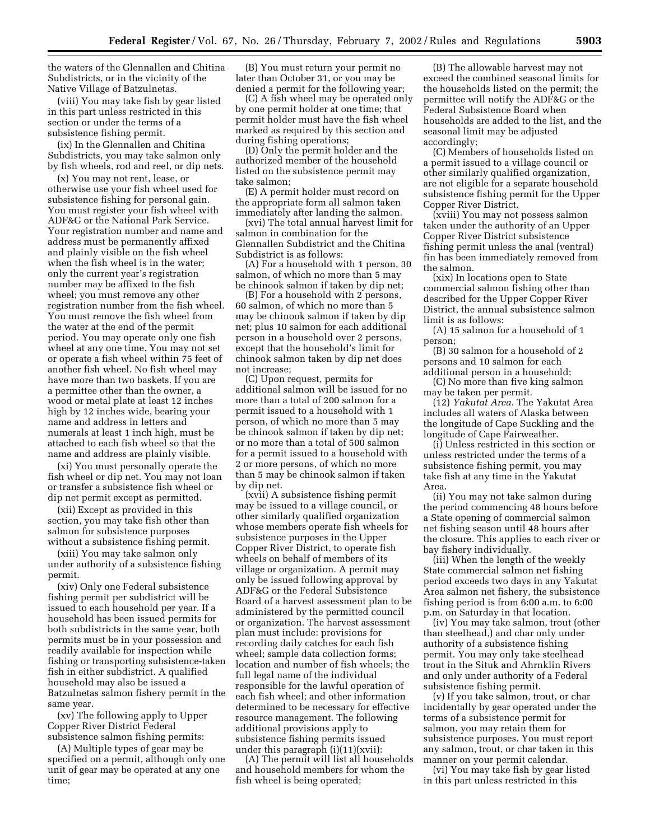the waters of the Glennallen and Chitina Subdistricts, or in the vicinity of the Native Village of Batzulnetas.

(viii) You may take fish by gear listed in this part unless restricted in this section or under the terms of a subsistence fishing permit.

(ix) In the Glennallen and Chitina Subdistricts, you may take salmon only by fish wheels, rod and reel, or dip nets.

(x) You may not rent, lease, or otherwise use your fish wheel used for subsistence fishing for personal gain. You must register your fish wheel with ADF&G or the National Park Service. Your registration number and name and address must be permanently affixed and plainly visible on the fish wheel when the fish wheel is in the water; only the current year's registration number may be affixed to the fish wheel; you must remove any other registration number from the fish wheel. You must remove the fish wheel from the water at the end of the permit period. You may operate only one fish wheel at any one time. You may not set or operate a fish wheel within 75 feet of another fish wheel. No fish wheel may have more than two baskets. If you are a permittee other than the owner, a wood or metal plate at least 12 inches high by 12 inches wide, bearing your name and address in letters and numerals at least 1 inch high, must be attached to each fish wheel so that the name and address are plainly visible.

(xi) You must personally operate the fish wheel or dip net. You may not loan or transfer a subsistence fish wheel or dip net permit except as permitted.

(xii) Except as provided in this section, you may take fish other than salmon for subsistence purposes without a subsistence fishing permit.

(xiii) You may take salmon only under authority of a subsistence fishing permit.

(xiv) Only one Federal subsistence fishing permit per subdistrict will be issued to each household per year. If a household has been issued permits for both subdistricts in the same year, both permits must be in your possession and readily available for inspection while fishing or transporting subsistence-taken fish in either subdistrict. A qualified household may also be issued a Batzulnetas salmon fishery permit in the same year.

(xv) The following apply to Upper Copper River District Federal subsistence salmon fishing permits:

(A) Multiple types of gear may be specified on a permit, although only one unit of gear may be operated at any one time;

(B) You must return your permit no later than October 31, or you may be denied a permit for the following year;

(C) A fish wheel may be operated only by one permit holder at one time; that permit holder must have the fish wheel marked as required by this section and during fishing operations;

(D) Only the permit holder and the authorized member of the household listed on the subsistence permit may take salmon;

(E) A permit holder must record on the appropriate form all salmon taken immediately after landing the salmon.

(xvi) The total annual harvest limit for salmon in combination for the Glennallen Subdistrict and the Chitina Subdistrict is as follows:

(A) For a household with 1 person, 30 salmon, of which no more than 5 may be chinook salmon if taken by dip net;

(B) For a household with 2 persons, 60 salmon, of which no more than 5 may be chinook salmon if taken by dip net; plus 10 salmon for each additional person in a household over 2 persons, except that the household's limit for chinook salmon taken by dip net does not increase;

(C) Upon request, permits for additional salmon will be issued for no more than a total of 200 salmon for a permit issued to a household with 1 person, of which no more than 5 may be chinook salmon if taken by dip net; or no more than a total of 500 salmon for a permit issued to a household with 2 or more persons, of which no more than 5 may be chinook salmon if taken by dip net.

(xvii) A subsistence fishing permit may be issued to a village council, or other similarly qualified organization whose members operate fish wheels for subsistence purposes in the Upper Copper River District, to operate fish wheels on behalf of members of its village or organization. A permit may only be issued following approval by ADF&G or the Federal Subsistence Board of a harvest assessment plan to be administered by the permitted council or organization. The harvest assessment plan must include: provisions for recording daily catches for each fish wheel; sample data collection forms; location and number of fish wheels; the full legal name of the individual responsible for the lawful operation of each fish wheel; and other information determined to be necessary for effective resource management. The following additional provisions apply to subsistence fishing permits issued under this paragraph (i)(11)(xvii):

(A) The permit will list all households and household members for whom the fish wheel is being operated;

(B) The allowable harvest may not exceed the combined seasonal limits for the households listed on the permit; the permittee will notify the ADF&G or the Federal Subsistence Board when households are added to the list, and the seasonal limit may be adjusted accordingly;

(C) Members of households listed on a permit issued to a village council or other similarly qualified organization, are not eligible for a separate household subsistence fishing permit for the Upper Copper River District.

(xviii) You may not possess salmon taken under the authority of an Upper Copper River District subsistence fishing permit unless the anal (ventral) fin has been immediately removed from the salmon.

(xix) In locations open to State commercial salmon fishing other than described for the Upper Copper River District, the annual subsistence salmon limit is as follows:

(A) 15 salmon for a household of 1 person;

(B) 30 salmon for a household of 2 persons and 10 salmon for each additional person in a household;

(C) No more than five king salmon may be taken per permit.

(12) *Yakutat Area.* The Yakutat Area includes all waters of Alaska between the longitude of Cape Suckling and the longitude of Cape Fairweather.

(i) Unless restricted in this section or unless restricted under the terms of a subsistence fishing permit, you may take fish at any time in the Yakutat Area.

(ii) You may not take salmon during the period commencing 48 hours before a State opening of commercial salmon net fishing season until 48 hours after the closure. This applies to each river or bay fishery individually.

(iii) When the length of the weekly State commercial salmon net fishing period exceeds two days in any Yakutat Area salmon net fishery, the subsistence fishing period is from 6:00 a.m. to 6:00 p.m. on Saturday in that location.

(iv) You may take salmon, trout (other than steelhead,) and char only under authority of a subsistence fishing permit. You may only take steelhead trout in the Situk and Ahrnklin Rivers and only under authority of a Federal subsistence fishing permit.

(v) If you take salmon, trout, or char incidentally by gear operated under the terms of a subsistence permit for salmon, you may retain them for subsistence purposes. You must report any salmon, trout, or char taken in this manner on your permit calendar.

(vi) You may take fish by gear listed in this part unless restricted in this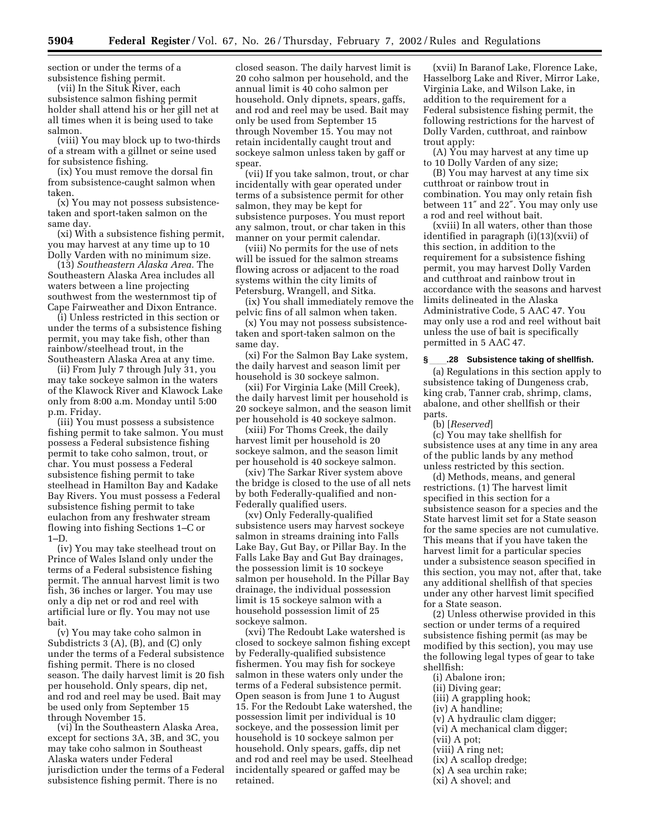section or under the terms of a subsistence fishing permit.

(vii) In the Situk River, each subsistence salmon fishing permit holder shall attend his or her gill net at all times when it is being used to take salmon.

(viii) You may block up to two-thirds of a stream with a gillnet or seine used for subsistence fishing.

(ix) You must remove the dorsal fin from subsistence-caught salmon when taken.

(x) You may not possess subsistencetaken and sport-taken salmon on the same day.

(xi) With a subsistence fishing permit, you may harvest at any time up to 10 Dolly Varden with no minimum size.

(13) *Southeastern Alaska Area.* The Southeastern Alaska Area includes all waters between a line projecting southwest from the westernmost tip of Cape Fairweather and Dixon Entrance.

(i) Unless restricted in this section or under the terms of a subsistence fishing permit, you may take fish, other than rainbow/steelhead trout, in the Southeastern Alaska Area at any time.

(ii) From July 7 through July 31, you may take sockeye salmon in the waters of the Klawock River and Klawock Lake only from 8:00 a.m. Monday until 5:00 p.m. Friday.

(iii) You must possess a subsistence fishing permit to take salmon. You must possess a Federal subsistence fishing permit to take coho salmon, trout, or char. You must possess a Federal subsistence fishing permit to take steelhead in Hamilton Bay and Kadake Bay Rivers. You must possess a Federal subsistence fishing permit to take eulachon from any freshwater stream flowing into fishing Sections 1–C or 1–D.

(iv) You may take steelhead trout on Prince of Wales Island only under the terms of a Federal subsistence fishing permit. The annual harvest limit is two fish, 36 inches or larger. You may use only a dip net or rod and reel with artificial lure or fly. You may not use bait.

(v) You may take coho salmon in Subdistricts 3 (A), (B), and (C) only under the terms of a Federal subsistence fishing permit. There is no closed season. The daily harvest limit is 20 fish per household. Only spears, dip net, and rod and reel may be used. Bait may be used only from September 15 through November 15.

(vi) In the Southeastern Alaska Area, except for sections 3A, 3B, and 3C, you may take coho salmon in Southeast Alaska waters under Federal jurisdiction under the terms of a Federal subsistence fishing permit. There is no

closed season. The daily harvest limit is 20 coho salmon per household, and the annual limit is 40 coho salmon per household. Only dipnets, spears, gaffs, and rod and reel may be used. Bait may only be used from September 15 through November 15. You may not retain incidentally caught trout and sockeye salmon unless taken by gaff or spear.

(vii) If you take salmon, trout, or char incidentally with gear operated under terms of a subsistence permit for other salmon, they may be kept for subsistence purposes. You must report any salmon, trout, or char taken in this manner on your permit calendar.

(viii) No permits for the use of nets will be issued for the salmon streams flowing across or adjacent to the road systems within the city limits of Petersburg, Wrangell, and Sitka.

(ix) You shall immediately remove the pelvic fins of all salmon when taken.

(x) You may not possess subsistencetaken and sport-taken salmon on the same day.

(xi) For the Salmon Bay Lake system, the daily harvest and season limit per household is 30 sockeye salmon.

(xii) For Virginia Lake (Mill Creek), the daily harvest limit per household is 20 sockeye salmon, and the season limit per household is 40 sockeye salmon.

(xiii) For Thoms Creek, the daily harvest limit per household is 20 sockeye salmon, and the season limit per household is 40 sockeye salmon.

(xiv) The Sarkar River system above the bridge is closed to the use of all nets by both Federally-qualified and non-Federally qualified users.

(xv) Only Federally-qualified subsistence users may harvest sockeye salmon in streams draining into Falls Lake Bay, Gut Bay, or Pillar Bay. In the Falls Lake Bay and Gut Bay drainages, the possession limit is 10 sockeye salmon per household. In the Pillar Bay drainage, the individual possession limit is 15 sockeye salmon with a household possession limit of 25 sockeye salmon.

(xvi) The Redoubt Lake watershed is closed to sockeye salmon fishing except by Federally-qualified subsistence fishermen. You may fish for sockeye salmon in these waters only under the terms of a Federal subsistence permit. Open season is from June 1 to August 15. For the Redoubt Lake watershed, the possession limit per individual is 10 sockeye, and the possession limit per household is 10 sockeye salmon per household. Only spears, gaffs, dip net and rod and reel may be used. Steelhead incidentally speared or gaffed may be retained.

(xvii) In Baranof Lake, Florence Lake, Hasselborg Lake and River, Mirror Lake, Virginia Lake, and Wilson Lake, in addition to the requirement for a Federal subsistence fishing permit, the following restrictions for the harvest of Dolly Varden, cutthroat, and rainbow trout apply:

(A) You may harvest at any time up to 10 Dolly Varden of any size;

(B) You may harvest at any time six cutthroat or rainbow trout in combination. You may only retain fish between 11″ and 22″. You may only use a rod and reel without bait.

(xviii) In all waters, other than those identified in paragraph (i)(13)(xvii) of this section, in addition to the requirement for a subsistence fishing permit, you may harvest Dolly Varden and cutthroat and rainbow trout in accordance with the seasons and harvest limits delineated in the Alaska Administrative Code, 5 AAC 47. You may only use a rod and reel without bait unless the use of bait is specifically permitted in 5 AAC 47.

#### **§**ll**.28 Subsistence taking of shellfish.**

(a) Regulations in this section apply to subsistence taking of Dungeness crab, king crab, Tanner crab, shrimp, clams, abalone, and other shellfish or their parts.

(b) [*Reserved*]

(c) You may take shellfish for subsistence uses at any time in any area of the public lands by any method unless restricted by this section.

(d) Methods, means, and general restrictions. (1) The harvest limit specified in this section for a subsistence season for a species and the State harvest limit set for a State season for the same species are not cumulative. This means that if you have taken the harvest limit for a particular species under a subsistence season specified in this section, you may not, after that, take any additional shellfish of that species under any other harvest limit specified for a State season.

(2) Unless otherwise provided in this section or under terms of a required subsistence fishing permit (as may be modified by this section), you may use the following legal types of gear to take shellfish:

- (i) Abalone iron;
- (ii) Diving gear;
- (iii) A grappling hook;
- (iv) A handline;
- (v) A hydraulic clam digger;
- (vi) A mechanical clam digger;
- (vii) A pot;
- (viii) A ring net;
- (ix) A scallop dredge;
- (x) A sea urchin rake;
- (xi) A shovel; and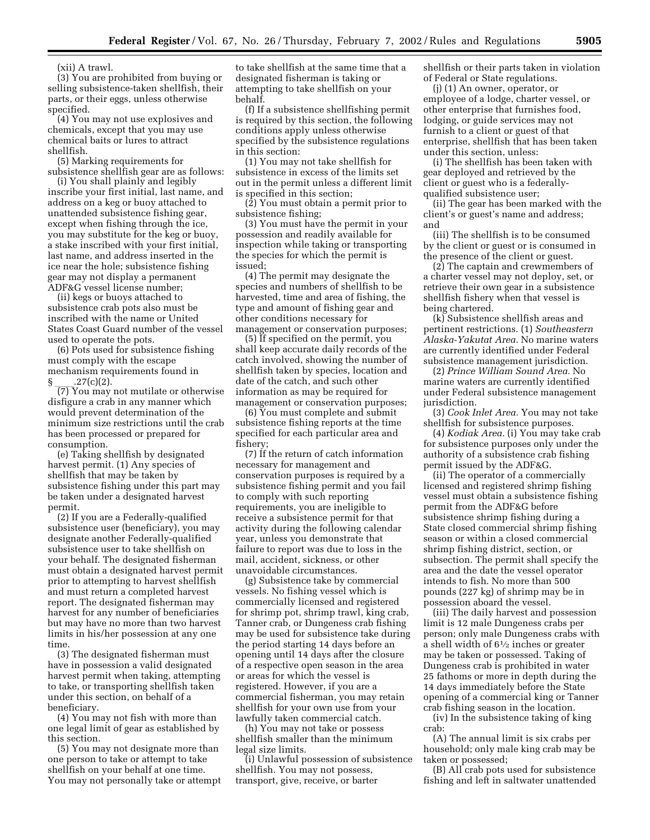(xii) A trawl.

(3) You are prohibited from buying or selling subsistence-taken shellfish, their parts, or their eggs, unless otherwise specified.

(4) You may not use explosives and chemicals, except that you may use chemical baits or lures to attract shellfish.

(5) Marking requirements for subsistence shellfish gear are as follows:

(i) You shall plainly and legibly inscribe your first initial, last name, and address on a keg or buoy attached to unattended subsistence fishing gear, except when fishing through the ice, you may substitute for the keg or buoy, a stake inscribed with your first initial, last name, and address inserted in the ice near the hole; subsistence fishing gear may not display a permanent ADF&G vessel license number;

(ii) kegs or buoys attached to subsistence crab pots also must be inscribed with the name or United States Coast Guard number of the vessel used to operate the pots.

(6) Pots used for subsistence fishing must comply with the escape mechanism requirements found in

 $\frac{1}{2}\frac{1}{2}\cdot\frac{27(c)(2)}{2}$ . (7) You may not mutilate or otherwise disfigure a crab in any manner which would prevent determination of the minimum size restrictions until the crab has been processed or prepared for consumption.

(e) Taking shellfish by designated harvest permit. (1) Any species of shellfish that may be taken by subsistence fishing under this part may be taken under a designated harvest permit.

(2) If you are a Federally-qualified subsistence user (beneficiary), you may designate another Federally-qualified subsistence user to take shellfish on your behalf. The designated fisherman must obtain a designated harvest permit prior to attempting to harvest shellfish and must return a completed harvest report. The designated fisherman may harvest for any number of beneficiaries but may have no more than two harvest limits in his/her possession at any one time.

(3) The designated fisherman must have in possession a valid designated harvest permit when taking, attempting to take, or transporting shellfish taken under this section, on behalf of a beneficiary.

(4) You may not fish with more than one legal limit of gear as established by this section.

(5) You may not designate more than one person to take or attempt to take shellfish on your behalf at one time. You may not personally take or attempt

to take shellfish at the same time that a designated fisherman is taking or attempting to take shellfish on your behalf.

(f) If a subsistence shellfishing permit is required by this section, the following conditions apply unless otherwise specified by the subsistence regulations in this section:

(1) You may not take shellfish for subsistence in excess of the limits set out in the permit unless a different limit is specified in this section;

(2) You must obtain a permit prior to subsistence fishing;

(3) You must have the permit in your possession and readily available for inspection while taking or transporting the species for which the permit is issued;

(4) The permit may designate the species and numbers of shellfish to be harvested, time and area of fishing, the type and amount of fishing gear and other conditions necessary for management or conservation purposes;

(5) If specified on the permit, you shall keep accurate daily records of the catch involved, showing the number of shellfish taken by species, location and date of the catch, and such other information as may be required for management or conservation purposes;

(6) You must complete and submit subsistence fishing reports at the time specified for each particular area and fishery;

(7) If the return of catch information necessary for management and conservation purposes is required by a subsistence fishing permit and you fail to comply with such reporting requirements, you are ineligible to receive a subsistence permit for that activity during the following calendar year, unless you demonstrate that failure to report was due to loss in the mail, accident, sickness, or other unavoidable circumstances.

(g) Subsistence take by commercial vessels. No fishing vessel which is commercially licensed and registered for shrimp pot, shrimp trawl, king crab, Tanner crab, or Dungeness crab fishing may be used for subsistence take during the period starting 14 days before an opening until 14 days after the closure of a respective open season in the area or areas for which the vessel is registered. However, if you are a commercial fisherman, you may retain shellfish for your own use from your lawfully taken commercial catch.

(h) You may not take or possess shellfish smaller than the minimum legal size limits.

(i) Unlawful possession of subsistence shellfish. You may not possess, transport, give, receive, or barter

shellfish or their parts taken in violation of Federal or State regulations.

(j) (1) An owner, operator, or employee of a lodge, charter vessel, or other enterprise that furnishes food, lodging, or guide services may not furnish to a client or guest of that enterprise, shellfish that has been taken under this section, unless:

(i) The shellfish has been taken with gear deployed and retrieved by the client or guest who is a federallyqualified subsistence user;

(ii) The gear has been marked with the client's or guest's name and address; and

(iii) The shellfish is to be consumed by the client or guest or is consumed in the presence of the client or guest.

(2) The captain and crewmembers of a charter vessel may not deploy, set, or retrieve their own gear in a subsistence shellfish fishery when that vessel is being chartered.

(k) Subsistence shellfish areas and pertinent restrictions. (1) *Southeastern Alaska-Yakutat Area.* No marine waters are currently identified under Federal subsistence management jurisdiction.

(2) *Prince William Sound Area.* No marine waters are currently identified under Federal subsistence management jurisdiction.

(3) *Cook Inlet Area.* You may not take shellfish for subsistence purposes.

(4) *Kodiak Area.* (i) You may take crab for subsistence purposes only under the authority of a subsistence crab fishing permit issued by the ADF&G.

(ii) The operator of a commercially licensed and registered shrimp fishing vessel must obtain a subsistence fishing permit from the ADF&G before subsistence shrimp fishing during a State closed commercial shrimp fishing season or within a closed commercial shrimp fishing district, section, or subsection. The permit shall specify the area and the date the vessel operator intends to fish. No more than 500 pounds (227 kg) of shrimp may be in possession aboard the vessel.

(iii) The daily harvest and possession limit is 12 male Dungeness crabs per person; only male Dungeness crabs with a shell width of 61⁄2 inches or greater may be taken or possessed. Taking of Dungeness crab is prohibited in water 25 fathoms or more in depth during the 14 days immediately before the State opening of a commercial king or Tanner crab fishing season in the location.

(iv) In the subsistence taking of king crab:

(A) The annual limit is six crabs per household; only male king crab may be taken or possessed;

(B) All crab pots used for subsistence fishing and left in saltwater unattended